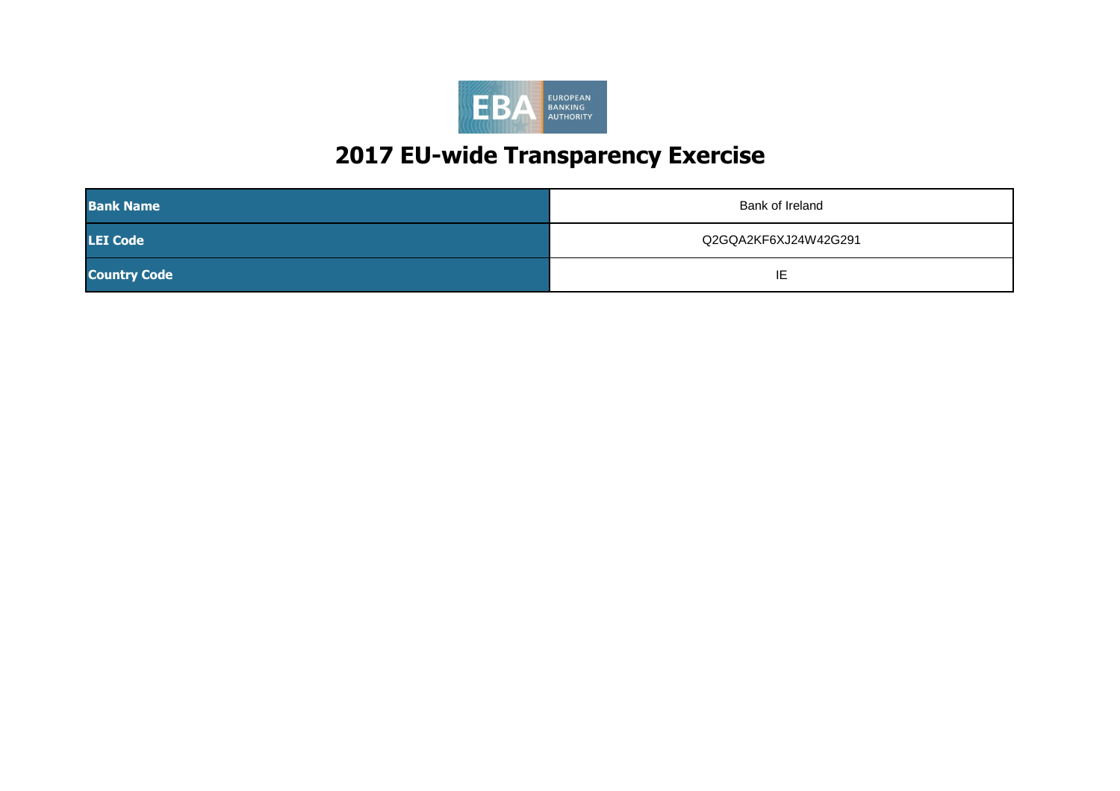| <b>Bank Name</b>    | <b>Bank of Ireland</b> |
|---------------------|------------------------|
| <b>LEI Code</b>     | Q2GQA2KF6XJ24W42G291   |
| <b>Country Code</b> | IE                     |

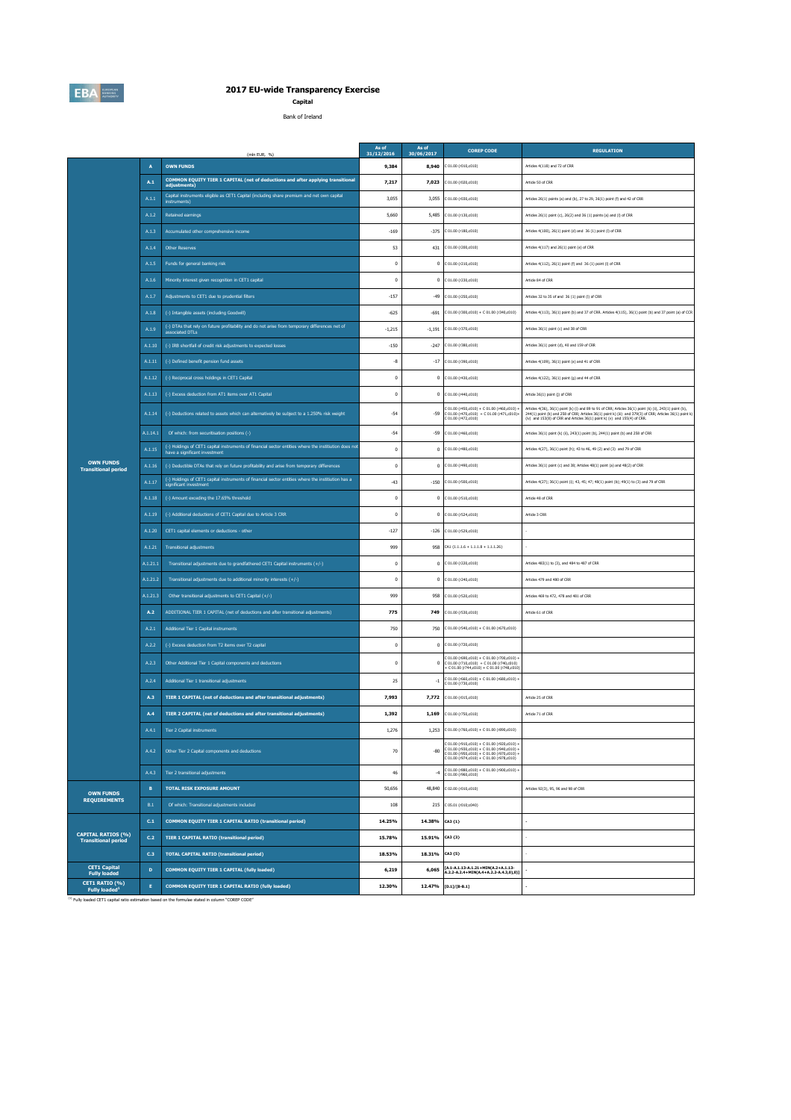|                                                         | (mln EUR, $%$ ) | As of<br>31/12/2016                                                                                                                    | As of<br>30/06/2017 | <b>COREP CODE</b>                                            | <b>REGULATION</b>                                                                                                                                                                            |                                                                                                                                                                                                                                                                                                           |
|---------------------------------------------------------|-----------------|----------------------------------------------------------------------------------------------------------------------------------------|---------------------|--------------------------------------------------------------|----------------------------------------------------------------------------------------------------------------------------------------------------------------------------------------------|-----------------------------------------------------------------------------------------------------------------------------------------------------------------------------------------------------------------------------------------------------------------------------------------------------------|
|                                                         | A               | <b>OWN FUNDS</b>                                                                                                                       | 9,384               |                                                              | 8,940 $C 01.00 (r010, c010)$                                                                                                                                                                 | Articles 4(118) and 72 of CRR                                                                                                                                                                                                                                                                             |
|                                                         | A.1             | <b>COMMON EQUITY TIER 1 CAPITAL (net of deductions and after applying transitional</b><br>adjustments)                                 | 7,217               |                                                              | 7,023 $\big $ C 01.00 (r020,c010)                                                                                                                                                            | Article 50 of CRR                                                                                                                                                                                                                                                                                         |
|                                                         | A.1.1           | Capital instruments eligible as CET1 Capital (including share premium and net own capital<br>instruments)                              | 3,055               |                                                              | 3,055 C 01.00 (r030,c010)                                                                                                                                                                    | Articles 26(1) points (a) and (b), 27 to 29, 36(1) point (f) and 42 of CRR                                                                                                                                                                                                                                |
|                                                         | A.1.2           | Retained earnings                                                                                                                      | 5,660               |                                                              | 5,485 C 01.00 (r130,c010)                                                                                                                                                                    | Articles 26(1) point (c), 26(2) and 36 (1) points (a) and (I) of CRR                                                                                                                                                                                                                                      |
|                                                         | A.1.3           | Accumulated other comprehensive income                                                                                                 | $-169$              |                                                              | $-375$ C 01.00 (r180,c010)                                                                                                                                                                   | Articles 4(100), 26(1) point (d) and 36 (1) point (l) of CRR                                                                                                                                                                                                                                              |
|                                                         | A.1.4           | <b>Other Reserves</b>                                                                                                                  | 53                  |                                                              | 431 C 01.00 (r200, c010)                                                                                                                                                                     | Articles 4(117) and 26(1) point (e) of CRR                                                                                                                                                                                                                                                                |
|                                                         | A.1.5           | Funds for general banking risk                                                                                                         |                     |                                                              | $0$ C 01.00 (r210, c010)                                                                                                                                                                     | Articles 4(112), 26(1) point (f) and 36 (1) point (l) of CRR                                                                                                                                                                                                                                              |
|                                                         | A.1.6           | Minority interest given recognition in CET1 capital                                                                                    |                     |                                                              | $0$ C 01.00 (r230, c010)                                                                                                                                                                     | Article 84 of CRR                                                                                                                                                                                                                                                                                         |
|                                                         | A.1.7           | Adjustments to CET1 due to prudential filters                                                                                          | $-157$              |                                                              | $-49$ C 01.00 (r250, c010)                                                                                                                                                                   | Articles 32 to 35 of and 36 (1) point (I) of CRR                                                                                                                                                                                                                                                          |
|                                                         | A.1.8           | (-) Intangible assets (including Goodwill)                                                                                             | $-625$              |                                                              | $-691$ C 01.00 (r300,c010) + C 01.00 (r340,c010)                                                                                                                                             | Articles 4(113), 36(1) point (b) and 37 of CRR. Articles 4(115), 36(1) point (b) and 37 point (a) of CCR                                                                                                                                                                                                  |
|                                                         | A.1.9           | $\frac{1}{2}$ (-) DTAs that rely on future profitability and do not arise from temporary differences net of<br>associated DTLs         | $-1,215$            |                                                              | $-1,191$ C 01.00 (r370,c010)                                                                                                                                                                 | Articles 36(1) point (c) and 38 of CRR                                                                                                                                                                                                                                                                    |
|                                                         | A.1.10          | (-) IRB shortfall of credit risk adjustments to expected losses                                                                        | $-150$              |                                                              | $-247$ C 01.00 (r380,c010)                                                                                                                                                                   | Articles 36(1) point (d), 40 and 159 of CRR                                                                                                                                                                                                                                                               |
|                                                         | A.1.11          | (-) Defined benefit pension fund assets                                                                                                | -8                  |                                                              | $-17$ C 01.00 (r390,c010)                                                                                                                                                                    | Articles 4(109), 36(1) point (e) and 41 of CRR                                                                                                                                                                                                                                                            |
|                                                         | A.1.12          | (-) Reciprocal cross holdings in CET1 Capital                                                                                          |                     |                                                              | $0$ C 01.00 (r430,c010)                                                                                                                                                                      | Articles 4(122), 36(1) point (g) and 44 of CRR                                                                                                                                                                                                                                                            |
|                                                         | A.1.13          | (-) Excess deduction from AT1 items over AT1 Capital                                                                                   |                     |                                                              | $0$ C 01.00 (r440,c010)                                                                                                                                                                      | Article 36(1) point (j) of CRR                                                                                                                                                                                                                                                                            |
|                                                         |                 | A.1.14 (-) Deductions related to assets which can alternatively be subject to a 1.250% risk weight                                     | $-54$               |                                                              | C 01.00 (r450,c010) + C 01.00 (r460,c010) +<br>$-59$ C 01.00 (r470, c010) + C 01.00 (r471, c010) +<br>C 01.00 (r472,c010)                                                                    | Articles 4(36), 36(1) point (k) (i) and 89 to 91 of CRR; Articles 36(1) point (k) (ii), 243(1) point (b),<br>244(1) point (b) and 258 of CRR; Articles 36(1) point k) (iii) and 379(3) of CRR; Articles 36(1) point k)<br>(iv) and $153(8)$ of CRR and Articles $36(1)$ point k) (v) and $155(4)$ of CRR. |
|                                                         | A.1.14.1        | Of which: from securitisation positions (-)                                                                                            | $-54$               |                                                              | $-59$ C 01.00 (r460,c010)                                                                                                                                                                    | Articles 36(1) point (k) (ii), 243(1) point (b), 244(1) point (b) and 258 of CRR                                                                                                                                                                                                                          |
|                                                         | A.1.15          | (-) Holdings of CET1 capital instruments of financial sector entities where the institiution does not<br>have a significant investment |                     |                                                              | $0$ C 01.00 (r480,c010)                                                                                                                                                                      | Articles 4(27), 36(1) point (h); 43 to 46, 49 (2) and (3) and 79 of CRR                                                                                                                                                                                                                                   |
| <b>OWN FUNDS</b><br><b>Transitional period</b>          |                 | A.1.16 (-) Deductible DTAs that rely on future profitability and arise from temporary differences                                      |                     |                                                              | $0$ C 01.00 (r490,c010)                                                                                                                                                                      | Articles 36(1) point (c) and 38; Articles 48(1) point (a) and 48(2) of CRR                                                                                                                                                                                                                                |
|                                                         | A.1.17          | (-) Holdings of CET1 capital instruments of financial sector entities where the institiution has a<br>significant investment           | $-43$               |                                                              | $-150$ C 01.00 (r500,c010)                                                                                                                                                                   | Articles 4(27); 36(1) point (i); 43, 45; 47; 48(1) point (b); 49(1) to (3) and 79 of CRR                                                                                                                                                                                                                  |
|                                                         | A.1.18          | (-) Amount exceding the 17.65% threshold                                                                                               |                     |                                                              | $0$ C 01.00 (r510, c010)                                                                                                                                                                     | Article 48 of CRR                                                                                                                                                                                                                                                                                         |
|                                                         |                 | $A.1.19$ (-) Additional deductions of CET1 Capital due to Article 3 CRR                                                                |                     |                                                              | $0$ C 01.00 (r524,c010)                                                                                                                                                                      | Article 3 CRR                                                                                                                                                                                                                                                                                             |
|                                                         | A.1.20          | CET1 capital elements or deductions - other                                                                                            | $-127$              |                                                              | $-126$ C 01.00 (r529,c010)                                                                                                                                                                   |                                                                                                                                                                                                                                                                                                           |
|                                                         | A.1.21          | Transitional adjustments                                                                                                               | 999                 |                                                              | 958 CA1 $\{1.1.1.6 + 1.1.1.8 + 1.1.1.26\}$                                                                                                                                                   |                                                                                                                                                                                                                                                                                                           |
|                                                         | A.1.21.1        | Transitional adjustments due to grandfathered CET1 Capital instruments $(+/-)$                                                         |                     |                                                              | $0$ C 01.00 (r220, c010)                                                                                                                                                                     | Articles 483(1) to (3), and 484 to 487 of CRR                                                                                                                                                                                                                                                             |
|                                                         | A.1.21.2        | Transitional adjustments due to additional minority interests $(+/-)$                                                                  |                     |                                                              | $0$ C 01.00 (r240, c010)                                                                                                                                                                     | Articles 479 and 480 of CRR                                                                                                                                                                                                                                                                               |
|                                                         | A.1.21.3        | Other transitional adjustments to CET1 Capital $(+/-)$                                                                                 | 999                 |                                                              | 958 C 01.00 (r520, c010)                                                                                                                                                                     | Articles 469 to 472, 478 and 481 of CRR                                                                                                                                                                                                                                                                   |
|                                                         | A.2             | ADDITIONAL TIER 1 CAPITAL (net of deductions and after transitional adjustments)                                                       | 775                 |                                                              | 749 C 01.00 (r530,c010)                                                                                                                                                                      | Article 61 of CRR                                                                                                                                                                                                                                                                                         |
|                                                         | A.2.1           | Additional Tier 1 Capital instruments                                                                                                  | 750                 |                                                              | 750 C 01.00 (r540,c010) + C 01.00 (r670,c010)                                                                                                                                                |                                                                                                                                                                                                                                                                                                           |
|                                                         | A.2.2           | (-) Excess deduction from T2 items over T2 capital                                                                                     |                     |                                                              | $0$ C 01.00 (r720, c010)                                                                                                                                                                     |                                                                                                                                                                                                                                                                                                           |
|                                                         | A.2.3           | Other Additional Tier 1 Capital components and deductions                                                                              |                     | $\bf{0}$                                                     | C 01.00 (r690,c010) + C 01.00 (r700,c010) +<br>$C 01.00 (r710, c010) + C 01.00 (r740, c010)$<br>+ C 01.00 (r744,c010) + C 01.00 (r748,c010)                                                  |                                                                                                                                                                                                                                                                                                           |
|                                                         | A.2.4           | Additional Tier 1 transitional adjustments                                                                                             | 25                  |                                                              | $C 01.00 (r660, c010) + C 01.00 (r680, c010) + C 01.00 (r730, c010)$                                                                                                                         |                                                                                                                                                                                                                                                                                                           |
|                                                         | A.3             | TIER 1 CAPITAL (net of deductions and after transitional adjustments)                                                                  | 7,993               |                                                              | 7,772 $\left[ \text{C } 01.00 \right]$ (r015,c010)                                                                                                                                           | Article 25 of CRR                                                                                                                                                                                                                                                                                         |
|                                                         | A.4             | TIER 2 CAPITAL (net of deductions and after transitional adjustments)                                                                  | 1,392               |                                                              | 1,169 $\left[\text{C } 01.00 \text{ (r750, c010)}\right]$                                                                                                                                    | Article 71 of CRR                                                                                                                                                                                                                                                                                         |
|                                                         | A.4.1           | Tier 2 Capital instruments                                                                                                             | 1,276               |                                                              | 1,253 C 01.00 (r760,c010) + C 01.00 (r890,c010)                                                                                                                                              |                                                                                                                                                                                                                                                                                                           |
|                                                         | A.4.2           | Other Tier 2 Capital components and deductions                                                                                         | 70                  | $-80$                                                        | C 01.00 (r910,c010) + C 01.00 (r920,c010) +<br>$C 01.00 (r930, c010) + C 01.00 (r940, c010) +$<br>C 01.00 (r950,c010) + C 01.00 (r970,c010) +<br>$C$ 01.00 (r974,c010) + C 01.00 (r978,c010) |                                                                                                                                                                                                                                                                                                           |
|                                                         | A.4.3           | Tier 2 transitional adjustments                                                                                                        | 46                  |                                                              | C 01.00 (r880,c010) + C 01.00 (r900,c010) +<br>C 01.00 (r960, c010)                                                                                                                          |                                                                                                                                                                                                                                                                                                           |
| <b>OWN FUNDS</b>                                        | B               | <b>TOTAL RISK EXPOSURE AMOUNT</b>                                                                                                      | 50,656              |                                                              | 48,840 C 02.00 (r010,c010)                                                                                                                                                                   | Articles 92(3), 95, 96 and 98 of CRR                                                                                                                                                                                                                                                                      |
| <b>REQUIREMENTS</b>                                     | B.1             | Of which: Transitional adjustments included                                                                                            | 108                 |                                                              | 215 C 05.01 (r010;c040)                                                                                                                                                                      |                                                                                                                                                                                                                                                                                                           |
|                                                         | C.1             | <b>COMMON EQUITY TIER 1 CAPITAL RATIO (transitional period)</b>                                                                        | 14.25%              | 14.38% $\left[$ CA3 {1}                                      |                                                                                                                                                                                              |                                                                                                                                                                                                                                                                                                           |
| <b>CAPITAL RATIOS (%)</b><br><b>Transitional period</b> | C.2             | <b>TIER 1 CAPITAL RATIO (transitional period)</b>                                                                                      | 15.78%              | 15.91% $\begin{bmatrix} \text{CA3} & \text{3} \end{bmatrix}$ |                                                                                                                                                                                              |                                                                                                                                                                                                                                                                                                           |
|                                                         | C.3             | <b>TOTAL CAPITAL RATIO (transitional period)</b>                                                                                       | 18.53%              | 18.31% $\begin{bmatrix} \text{CA3 } \{5\} \end{bmatrix}$     |                                                                                                                                                                                              |                                                                                                                                                                                                                                                                                                           |
| <b>CET1 Capital</b><br><b>Fully loaded</b>              | D               | <b>COMMON EQUITY TIER 1 CAPITAL (fully loaded)</b>                                                                                     | 6,219               | 6,065                                                        | [A.1-A.1.13-A.1.21+MIN(A.2+A.1.13-<br>$\overline{A}.2.2-A.2.4+MIN(A.4+A.2.2-A.4.3,0),0)]$                                                                                                    |                                                                                                                                                                                                                                                                                                           |
| CET1 RATIO (%)<br><b>Fully loaded</b> <sup>1</sup>      |                 | <b>COMMON EQUITY TIER 1 CAPITAL RATIO (fully loaded)</b>                                                                               | 12.30%              |                                                              | 12.47% [[D.1]/[B-B.1]                                                                                                                                                                        |                                                                                                                                                                                                                                                                                                           |

 $^{(1)}$  Fully loaded CET1 capital ratio estimation based on the formulae stated in column "COREP CODE"



# **2017 EU-wide Transparency Exercise**

**Capital**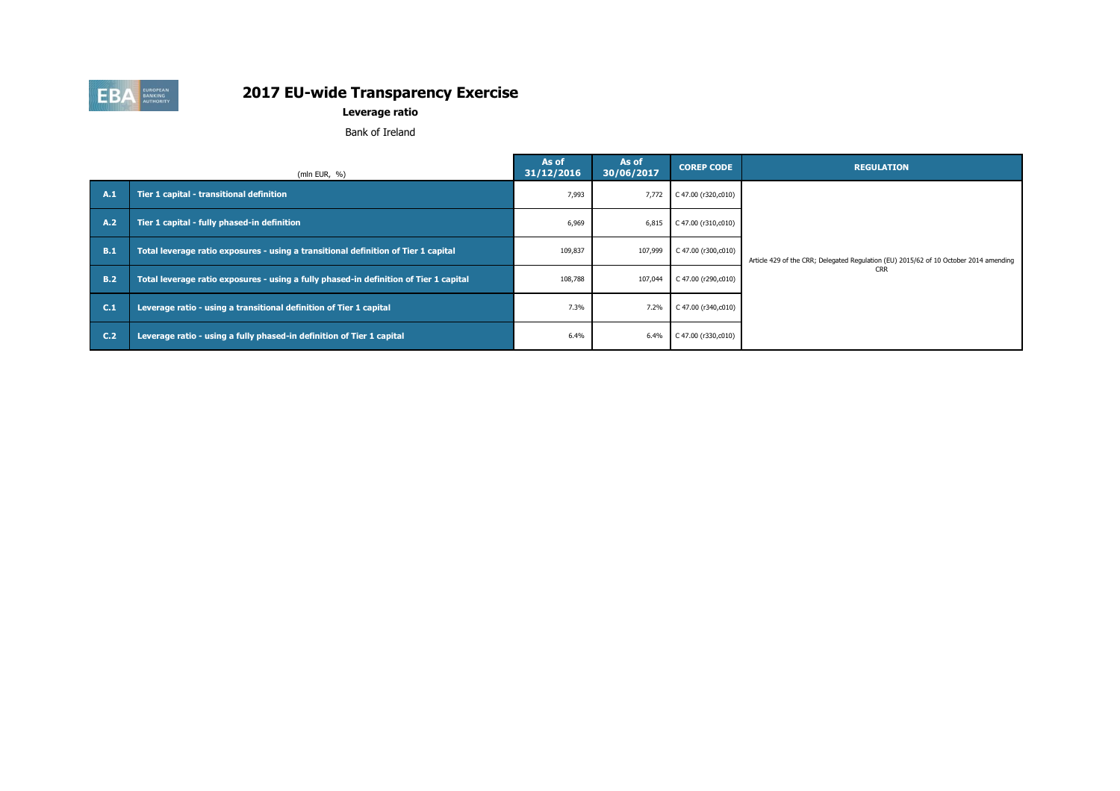|            | (mln EUR, $%$ )                                                                       | As of<br>31/12/2016 | As of<br>30/06/2017 | <b>COREP CODE</b>             | <b>REGULATION</b>                                                                     |
|------------|---------------------------------------------------------------------------------------|---------------------|---------------------|-------------------------------|---------------------------------------------------------------------------------------|
| A.1        | Tier 1 capital - transitional definition                                              | 7,993               | 7,772               | C 47.00 ( $r320, c010$ )      |                                                                                       |
| <b>A.2</b> | Tier 1 capital - fully phased-in definition                                           | 6,969               | 6,815               | $C$ 47.00 (r310,c010)         |                                                                                       |
| B.1        | Total leverage ratio exposures - using a transitional definition of Tier 1 capital    | 109,837             | 107,999             | C 47.00 ( $r300, c010$ )      | Article 429 of the CRR; Delegated Regulation (EU) 2015/62 of 10 October 2014 amending |
| <b>B.2</b> | Total leverage ratio exposures - using a fully phased-in definition of Tier 1 capital | 108,788             | 107,044             | C 47.00 ( $r290, c010$ )      | <b>CRR</b>                                                                            |
| C.1        | Leverage ratio - using a transitional definition of Tier 1 capital                    | 7.3%                | 7.2%                | C 47.00 ( $r340$ , $c010$ )   |                                                                                       |
| C.2        | Leverage ratio - using a fully phased-in definition of Tier 1 capital                 | 6.4%                | 6.4%                | $\bigcup$ C 47.00 (r330,c010) |                                                                                       |



#### **Leverage ratio**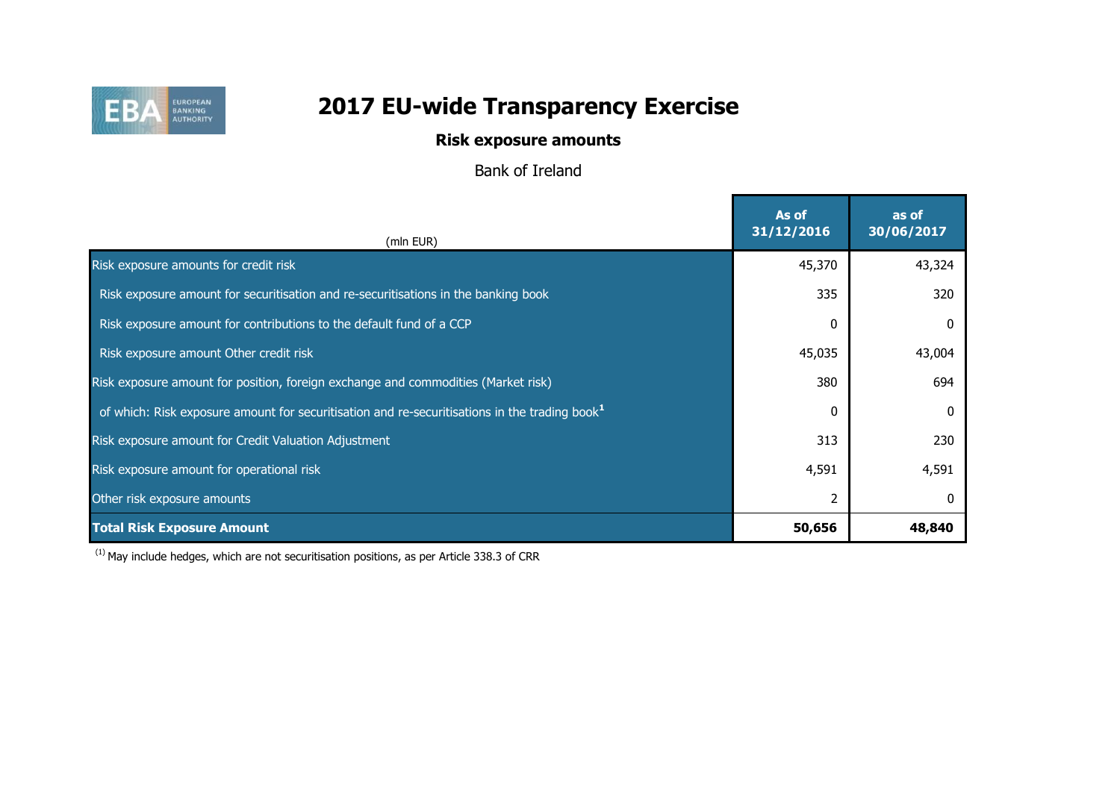

#### **Risk exposure amounts**

Bank of Ireland

| (mln EUR)                                                                                                 | As of<br>31/12/2016 | as of<br>30/06/2017 |
|-----------------------------------------------------------------------------------------------------------|---------------------|---------------------|
| Risk exposure amounts for credit risk                                                                     | 45,370              | 43,324              |
| Risk exposure amount for securitisation and re-securitisations in the banking book                        | 335                 | 320                 |
| Risk exposure amount for contributions to the default fund of a CCP                                       | n                   |                     |
| Risk exposure amount Other credit risk                                                                    | 45,035              | 43,004              |
| Risk exposure amount for position, foreign exchange and commodities (Market risk)                         | 380                 | 694                 |
| of which: Risk exposure amount for securitisation and re-securitisations in the trading book <sup>1</sup> | n                   |                     |
| Risk exposure amount for Credit Valuation Adjustment                                                      | 313                 | 230                 |
| Risk exposure amount for operational risk                                                                 | 4,591               | 4,591               |
| Other risk exposure amounts                                                                               |                     |                     |
| <b>Total Risk Exposure Amount</b>                                                                         | 50,656              | 48,840              |

 $(1)$  May include hedges, which are not securitisation positions, as per Article 338.3 of CRR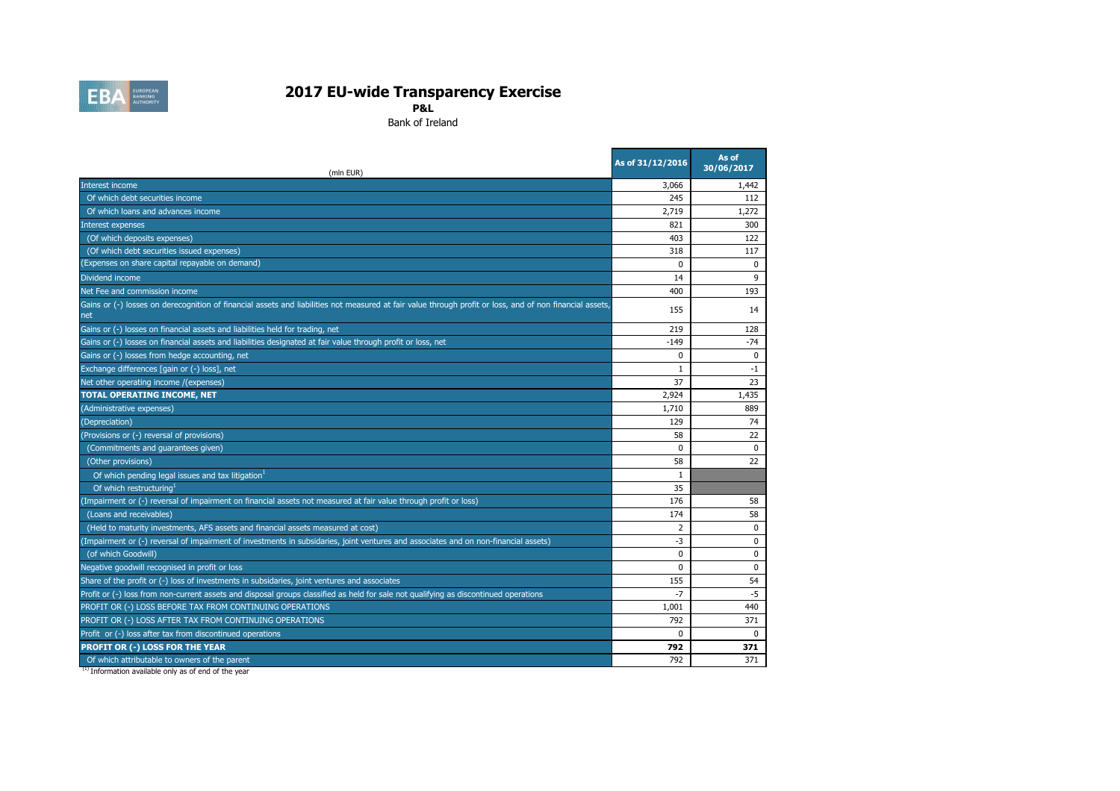| (mln EUR)                                                                                                                                                       | As of 31/12/2016 | As of<br>30/06/2017 |
|-----------------------------------------------------------------------------------------------------------------------------------------------------------------|------------------|---------------------|
| Interest income                                                                                                                                                 | 3,066            | 1,442               |
| Of which debt securities income                                                                                                                                 | 245              | 112                 |
| Of which loans and advances income                                                                                                                              | 2,719            | 1,272               |
| Interest expenses                                                                                                                                               | 821              | 300                 |
| (Of which deposits expenses)                                                                                                                                    | 403              | 122                 |
| (Of which debt securities issued expenses)                                                                                                                      | 318              | 117                 |
| (Expenses on share capital repayable on demand)                                                                                                                 | $\mathbf 0$      | $\boldsymbol{0}$    |
| Dividend income                                                                                                                                                 | 14               | 9                   |
| Net Fee and commission income                                                                                                                                   | 400              | 193                 |
| Gains or (-) losses on derecognition of financial assets and liabilities not measured at fair value through profit or loss, and of non financial assets,<br>net | 155              | 14                  |
| Gains or (-) losses on financial assets and liabilities held for trading, net                                                                                   | 219              | 128                 |
| Gains or (-) losses on financial assets and liabilities designated at fair value through profit or loss, net                                                    | $-149$           | $-74$               |
| Gains or (-) losses from hedge accounting, net                                                                                                                  | 0                | 0                   |
| Exchange differences [gain or (-) loss], net                                                                                                                    |                  | $-1$                |
| Net other operating income /(expenses)                                                                                                                          | 37               | 23                  |
| <b>TOTAL OPERATING INCOME, NET</b>                                                                                                                              | 2,924            | 1,435               |
| (Administrative expenses)                                                                                                                                       | 1,710            | 889                 |
| (Depreciation)                                                                                                                                                  | 129              | 74                  |
| (Provisions or (-) reversal of provisions)                                                                                                                      | 58               | 22                  |
| (Commitments and guarantees given)                                                                                                                              | $\mathbf 0$      | 0                   |
| (Other provisions)                                                                                                                                              | 58               | 22                  |
| Of which pending legal issues and tax litigation <sup>1</sup>                                                                                                   |                  |                     |
| Of which restructuring                                                                                                                                          | 35               |                     |
| (Impairment or (-) reversal of impairment on financial assets not measured at fair value through profit or loss)                                                | 176              | 58                  |
| (Loans and receivables)                                                                                                                                         | 174              | 58                  |
| (Held to maturity investments, AFS assets and financial assets measured at cost)                                                                                |                  | 0                   |
| (Impairment or (-) reversal of impairment of investments in subsidaries, joint ventures and associates and on non-financial assets)                             | -3               | $\boldsymbol{0}$    |
| (of which Goodwill)                                                                                                                                             | $\mathbf 0$      | 0                   |
| Negative goodwill recognised in profit or loss                                                                                                                  | $\Omega$         | 0                   |
| Share of the profit or (-) loss of investments in subsidaries, joint ventures and associates                                                                    | 155              | 54                  |
| Profit or (-) loss from non-current assets and disposal groups classified as held for sale not qualifying as discontinued operations                            | -7               | $-5$                |
| PROFIT OR (-) LOSS BEFORE TAX FROM CONTINUING OPERATIONS                                                                                                        | 1,001            | 440                 |
| PROFIT OR (-) LOSS AFTER TAX FROM CONTINUING OPERATIONS                                                                                                         | 792              | 371                 |
| Profit or (-) loss after tax from discontinued operations                                                                                                       | $\Omega$         | $\mathbf 0$         |
| <b>PROFIT OR (-) LOSS FOR THE YEAR</b>                                                                                                                          | 792              | 371                 |
| Of which attributable to owners of the parent                                                                                                                   | 792              | 371                 |

 $(1)$  Information available only as of end of the year



# **2017 EU-wide Transparency Exercise**

**P&L**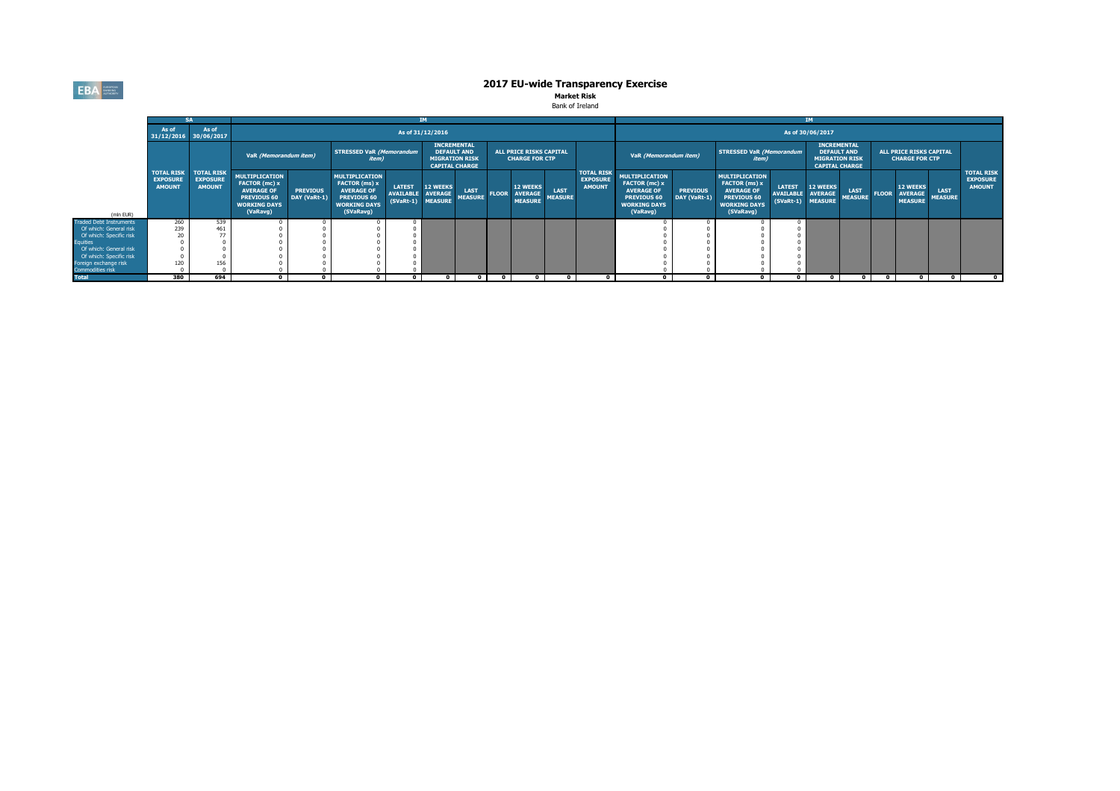

|                                           | <b>SA</b>                        |                                                                    |                                                                                                                             | IM                              |                                                                                                                              |                                                  |                                                                   |                               |              |                                                  |                               |                                                       | IM I                                                                                                                        |                                 |                                                                                                                              |                                                   |                                                                                            |                               |              |                                                     |                               |                                                       |
|-------------------------------------------|----------------------------------|--------------------------------------------------------------------|-----------------------------------------------------------------------------------------------------------------------------|---------------------------------|------------------------------------------------------------------------------------------------------------------------------|--------------------------------------------------|-------------------------------------------------------------------|-------------------------------|--------------|--------------------------------------------------|-------------------------------|-------------------------------------------------------|-----------------------------------------------------------------------------------------------------------------------------|---------------------------------|------------------------------------------------------------------------------------------------------------------------------|---------------------------------------------------|--------------------------------------------------------------------------------------------|-------------------------------|--------------|-----------------------------------------------------|-------------------------------|-------------------------------------------------------|
|                                           | As of<br>31/12/2016 30/06/2017   | As of                                                              |                                                                                                                             |                                 |                                                                                                                              |                                                  | As of 31/12/2016                                                  |                               |              |                                                  |                               |                                                       | As of 30/06/2017                                                                                                            |                                 |                                                                                                                              |                                                   |                                                                                            |                               |              |                                                     |                               |                                                       |
|                                           |                                  |                                                                    | VaR (Memorandum item)                                                                                                       |                                 | <b>STRESSED VaR (Memorandum</b><br><i>item)</i>                                                                              |                                                  | <b>INCREMENTAL</b><br><b>DEFAULT AND</b><br><b>MIGRATION RISK</b> | <b>CAPITAL CHARGE</b>         |              | ALL PRICE RISKS CAPITAL<br><b>CHARGE FOR CTP</b> |                               |                                                       | VaR (Memorandum item)                                                                                                       |                                 | <b>STRESSED VaR (Memorandum</b><br><i>item</i> )                                                                             |                                                   | <b>INCREMENTAL</b><br><b>DEFAULT AND</b><br><b>MIGRATION RISK</b><br><b>CAPITAL CHARGE</b> |                               |              | ALL PRICE RISKS CAPITAL<br><b>CHARGE FOR CTP</b>    |                               |                                                       |
| (mln EUR)                                 | <b>EXPOSURE</b><br><b>AMOUNT</b> | <b>TOTAL RISK   TOTAL RISK</b><br><b>EXPOSURE</b><br><b>AMOUNT</b> | <b>MULTIPLICATION</b><br><b>FACTOR (mc) x</b><br><b>AVERAGE OF</b><br><b>PREVIOUS 60</b><br><b>WORKING DAYS</b><br>(VaRavg) | <b>PREVIOUS</b><br>DAY (VaRt-1) | <b>MULTIPLICATION</b><br><b>FACTOR (ms) x</b><br><b>AVERAGE OF</b><br><b>PREVIOUS 60</b><br><b>WORKING DAYS</b><br>(SVaRavg) | <b>LATEST</b><br><b>AVAILABLE</b><br>$(SVaRt-1)$ | 12 WEEKS<br><b>AVERAGE</b><br><b>MEASURE</b>                      | <b>LAST</b><br><b>MEASURE</b> | <b>FLOOR</b> | 12 WEEKS<br><b>AVERAGE</b><br><b>MEASURE</b>     | <b>LAST</b><br><b>MEASURE</b> | <b>TOTAL RISK</b><br><b>EXPOSURE</b><br><b>AMOUNT</b> | <b>MULTIPLICATION</b><br><b>FACTOR (mc) x</b><br><b>AVERAGE OF</b><br><b>PREVIOUS 60</b><br><b>WORKING DAYS</b><br>(VaRavg) | <b>PREVIOUS</b><br>DAY (VaRt-1) | <b>MULTIPLICATION</b><br><b>FACTOR (ms) x</b><br><b>AVERAGE OF</b><br><b>PREVIOUS 60</b><br><b>WORKING DAYS</b><br>(SVaRavg) | <b>LATEST</b><br>AVAILABLE AVERAGE<br>$(SVaRt-1)$ | <b>12 WEEKS</b><br><b>MEASURE</b>                                                          | <b>LAST</b><br><b>MEASURE</b> | <b>FLOOR</b> | <b>12 WEEKS</b><br><b>AVERAGE</b><br><b>MEASURE</b> | <b>LAST</b><br><b>MEASURE</b> | <b>TOTAL RISK</b><br><b>EXPOSURE</b><br><b>AMOUNT</b> |
| Traded Debt Instruments                   | 260                              | 539                                                                |                                                                                                                             |                                 |                                                                                                                              |                                                  |                                                                   |                               |              |                                                  |                               |                                                       |                                                                                                                             |                                 |                                                                                                                              |                                                   |                                                                                            |                               |              |                                                     |                               |                                                       |
| Of which: General risk                    | 239                              | 461                                                                |                                                                                                                             |                                 |                                                                                                                              |                                                  |                                                                   |                               |              |                                                  |                               |                                                       |                                                                                                                             |                                 |                                                                                                                              |                                                   |                                                                                            |                               |              |                                                     |                               |                                                       |
| Of which: Specific risk                   | 20                               | 77                                                                 |                                                                                                                             |                                 |                                                                                                                              |                                                  |                                                                   |                               |              |                                                  |                               |                                                       |                                                                                                                             |                                 |                                                                                                                              |                                                   |                                                                                            |                               |              |                                                     |                               |                                                       |
| quities                                   |                                  |                                                                    |                                                                                                                             |                                 |                                                                                                                              |                                                  |                                                                   |                               |              |                                                  |                               |                                                       |                                                                                                                             |                                 |                                                                                                                              |                                                   |                                                                                            |                               |              |                                                     |                               |                                                       |
| Of which: General risk                    |                                  |                                                                    |                                                                                                                             |                                 |                                                                                                                              |                                                  |                                                                   |                               |              |                                                  |                               |                                                       |                                                                                                                             |                                 |                                                                                                                              |                                                   |                                                                                            |                               |              |                                                     |                               |                                                       |
| Of which: Specific risk                   | 120                              | 156                                                                |                                                                                                                             |                                 |                                                                                                                              |                                                  |                                                                   |                               |              |                                                  |                               |                                                       |                                                                                                                             |                                 |                                                                                                                              |                                                   |                                                                                            |                               |              |                                                     |                               |                                                       |
| Foreign exchange risk<br>Commodities risk |                                  |                                                                    |                                                                                                                             |                                 |                                                                                                                              |                                                  |                                                                   |                               |              |                                                  |                               |                                                       |                                                                                                                             |                                 |                                                                                                                              |                                                   |                                                                                            |                               |              |                                                     |                               |                                                       |
| <b>Total</b>                              | 380                              | 694                                                                | $\mathbf 0$                                                                                                                 |                                 | $\mathbf 0$                                                                                                                  |                                                  | $\mathbf 0$                                                       |                               | 0            |                                                  |                               |                                                       |                                                                                                                             |                                 | $\mathbf 0$                                                                                                                  |                                                   | $\mathbf 0$                                                                                | $\mathbf 0$                   | - 0          | $\overline{\mathbf{0}}$                             |                               | $\overline{\mathbf{0}}$                               |

#### **Market Risk** Bank of Ireland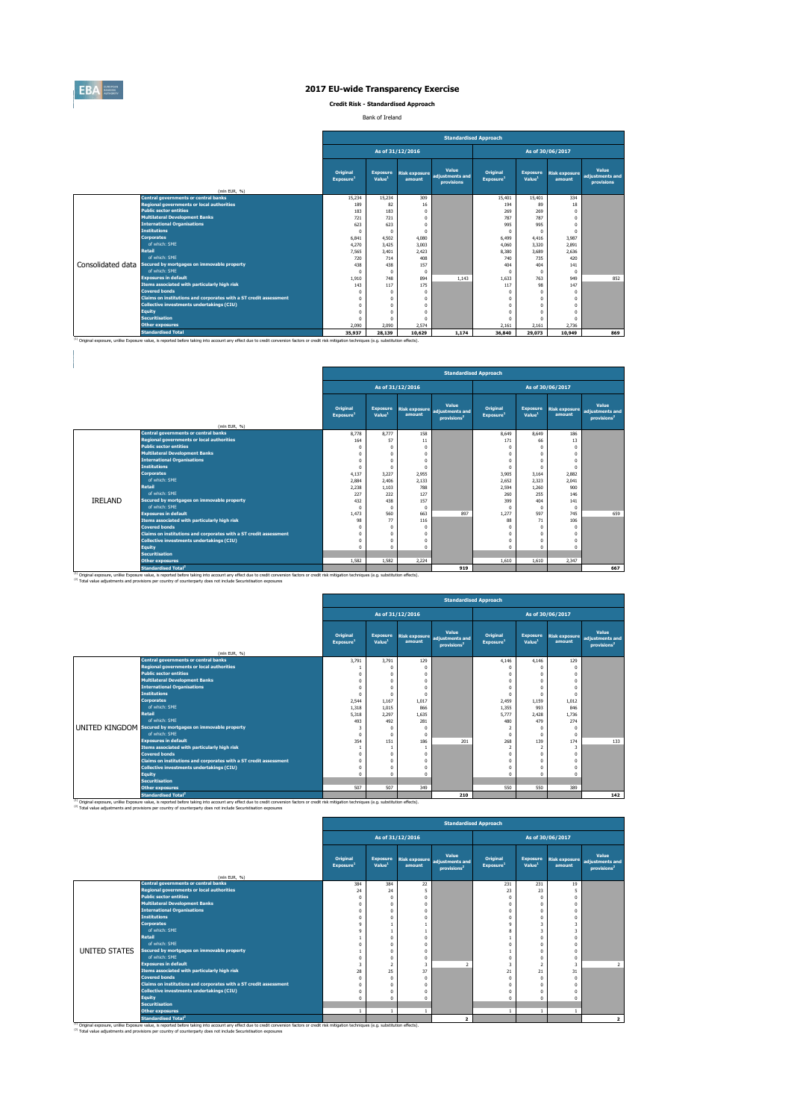(2) Total value adjustments and provisions per country of counterparty does not include Securistisation exposures

|                   |                                                                   |                                          |                                       |                                | <b>Standardised Approach</b>                         |                                          |                                       |                                |                                                      |
|-------------------|-------------------------------------------------------------------|------------------------------------------|---------------------------------------|--------------------------------|------------------------------------------------------|------------------------------------------|---------------------------------------|--------------------------------|------------------------------------------------------|
|                   |                                                                   |                                          |                                       | As of 31/12/2016               |                                                      |                                          |                                       | As of 30/06/2017               |                                                      |
|                   |                                                                   | <b>Original</b><br>Exposure <sup>1</sup> | <b>Exposure</b><br>Value <sup>1</sup> | <b>Risk exposure</b><br>amount | <b>Value</b><br>adjustments and<br><b>provisions</b> | <b>Original</b><br>Exposure <sup>1</sup> | <b>Exposure</b><br>Value <sup>1</sup> | <b>Risk exposure</b><br>amount | <b>Value</b><br>adjustments and<br><b>provisions</b> |
|                   | (mln EUR, $\%$ )                                                  |                                          |                                       |                                |                                                      |                                          |                                       |                                |                                                      |
|                   | <b>Central governments or central banks</b>                       | 15,234                                   | 15,234                                | 309                            |                                                      | 15,401                                   | 15,401                                | 334                            |                                                      |
|                   | Regional governments or local authorities                         | 189                                      | 82                                    | 16                             |                                                      | 194                                      | 89                                    | 18                             |                                                      |
|                   | <b>Public sector entities</b>                                     | 183                                      | 183                                   | $\pmb{0}$                      |                                                      | 269                                      | 269                                   | $\mathbf 0$                    |                                                      |
|                   | <b>Multilateral Development Banks</b>                             | 721                                      | 721                                   | $\pmb{0}$                      |                                                      | 787                                      | 787                                   | $\mathbf 0$                    |                                                      |
|                   | <b>International Organisations</b>                                | 623                                      | 623                                   | $\mathbf 0$                    |                                                      | 995                                      | 995                                   | $\mathbf 0$                    |                                                      |
|                   | <b>Institutions</b>                                               | $\mathbf 0$                              | $\Omega$                              | $\mathbf 0$                    |                                                      |                                          | $\Omega$                              | $\mathbf 0$                    |                                                      |
|                   | <b>Corporates</b>                                                 | 6,841                                    | 4,502                                 | 4,080                          |                                                      | 6,499                                    | 4,416                                 | 3,987                          |                                                      |
|                   | of which: SME                                                     | 4,270                                    | 3,425                                 | 3,003                          |                                                      | 4,060                                    | 3,320                                 | 2,891                          |                                                      |
|                   | <b>Retail</b>                                                     | 7,565                                    | 3,401                                 | 2,423                          |                                                      | 8,380                                    | 3,689                                 | 2,636                          |                                                      |
|                   | of which: SME                                                     | 720                                      | 714                                   | 408                            |                                                      | 740                                      | 735                                   | 420                            |                                                      |
| Consolidated data | Secured by mortgages on immovable property                        | 438                                      | 438                                   | 157                            |                                                      | 404                                      | 404                                   | 141                            |                                                      |
|                   | of which: SME                                                     | $\mathbf 0$                              | $\Omega$                              | $\mathbf 0$                    |                                                      |                                          | $\mathbf 0$                           | $\mathbf 0$                    |                                                      |
|                   | <b>Exposures in default</b>                                       | 1,910                                    | 748                                   | 894                            | 1,143                                                | 1,633                                    | 763                                   | 949                            | 852                                                  |
|                   | Items associated with particularly high risk                      | 143                                      | 117                                   | 175                            |                                                      | 117                                      | 98                                    | 147                            |                                                      |
|                   | <b>Covered bonds</b>                                              | $\mathbf 0$                              |                                       | 0                              |                                                      |                                          | $\mathbf{0}$                          | $\mathbf 0$                    |                                                      |
|                   | Claims on institutions and corporates with a ST credit assessment | $\mathbf{0}$                             |                                       | $\pmb{0}$                      |                                                      |                                          | $\mathbf{0}$                          | $\mathbf 0$                    |                                                      |
|                   | <b>Collective investments undertakings (CIU)</b>                  | $\Omega$                                 |                                       | $\pmb{0}$                      |                                                      |                                          | $\Omega$                              | $\mathbf 0$                    |                                                      |
|                   | <b>Equity</b>                                                     | $\Omega$                                 |                                       | $\mathbf 0$                    |                                                      |                                          |                                       | 0                              |                                                      |
|                   | <b>Securitisation</b>                                             | $\mathbf 0$                              |                                       | $\overline{0}$                 |                                                      |                                          | $\Omega$                              | $\mathbf{0}$                   |                                                      |
|                   | <b>Other exposures</b>                                            | 2,090                                    | 2,090                                 | 2,574                          |                                                      | 2,161                                    | 2,161                                 | 2,736                          |                                                      |
|                   | <b>Standardised Total</b>                                         | 35,937                                   | 28,139                                | 10,629                         | 1,174                                                | 36,840                                   | 29,073                                | 10,949                         | 869                                                  |

 $\frac{1}{10}$  Original exposure, unlike Exposure value, is reported before taking into account any effect due to credit conversion factors or credit risk mitigation techniques (e.g. substitution effects).

|                |                                                                                          |                                                 | <b>Standardised Approach</b>          |                   |                                                                          |                                          |                                       |                                |                                                            |  |  |  |  |
|----------------|------------------------------------------------------------------------------------------|-------------------------------------------------|---------------------------------------|-------------------|--------------------------------------------------------------------------|------------------------------------------|---------------------------------------|--------------------------------|------------------------------------------------------------|--|--|--|--|
|                |                                                                                          |                                                 |                                       | As of 31/12/2016  |                                                                          |                                          |                                       | As of 30/06/2017               |                                                            |  |  |  |  |
|                |                                                                                          | <b>Original</b><br><b>Exposure</b> <sup>1</sup> | <b>Exposure</b><br>Value <sup>1</sup> | amount            | <b>Value</b><br>Risk exposure adjustments and<br>provisions <sup>2</sup> | <b>Original</b><br>Exposure <sup>1</sup> | <b>Exposure</b><br>Value <sup>1</sup> | <b>Risk exposure</b><br>amount | <b>Value</b><br>adjustments and<br>provisions <sup>2</sup> |  |  |  |  |
|                | (mln EUR, $\%$ )                                                                         |                                                 |                                       |                   |                                                                          |                                          |                                       |                                |                                                            |  |  |  |  |
|                | <b>Central governments or central banks</b><br>Regional governments or local authorities | 8,778<br>164                                    | 8,777<br>57                           | 158               |                                                                          | 8,649<br>171                             | 8,649                                 | 186<br>13                      |                                                            |  |  |  |  |
|                | <b>Public sector entities</b>                                                            |                                                 |                                       | 11<br>$\mathbf 0$ |                                                                          |                                          | 66                                    | $\mathbf 0$                    |                                                            |  |  |  |  |
|                | <b>Multilateral Development Banks</b>                                                    |                                                 |                                       | $\mathbf 0$       |                                                                          |                                          |                                       |                                |                                                            |  |  |  |  |
|                | <b>International Organisations</b>                                                       |                                                 |                                       | $\mathbf 0$       |                                                                          |                                          |                                       |                                |                                                            |  |  |  |  |
|                | <b>Institutions</b>                                                                      | 0                                               |                                       | $\mathbf{0}$      |                                                                          | $\mathbf 0$                              |                                       |                                |                                                            |  |  |  |  |
|                | <b>Corporates</b>                                                                        | 4,137                                           | 3,227                                 | 2,955             |                                                                          | 3,905                                    | 3,164                                 | 2,882                          |                                                            |  |  |  |  |
|                | of which: SME                                                                            | 2,884                                           | 2,406                                 | 2,133             |                                                                          | 2,652                                    | 2,323                                 | 2,041                          |                                                            |  |  |  |  |
|                | <b>Retail</b>                                                                            | 2,238                                           | 1,103                                 | 788               |                                                                          | 2,594                                    | 1,260                                 | 900                            |                                                            |  |  |  |  |
|                | of which: SME                                                                            | 227                                             | 222                                   | 127               |                                                                          | 260                                      | 255                                   | 146                            |                                                            |  |  |  |  |
| <b>IRELAND</b> | Secured by mortgages on immovable property                                               | 432                                             | 438                                   | 157               |                                                                          | 399                                      | 404                                   | 141                            |                                                            |  |  |  |  |
|                | of which: SME                                                                            | $\Omega$                                        | $\Omega$                              | $\overline{0}$    |                                                                          | $\Omega$                                 |                                       | $\overline{0}$                 |                                                            |  |  |  |  |
|                | <b>Exposures in default</b>                                                              | 1,473                                           | 560                                   | 663               | 897                                                                      | 1,277                                    | 597                                   | 745                            | 659                                                        |  |  |  |  |
|                | Items associated with particularly high risk                                             | 98                                              | 77                                    | 116               |                                                                          | 88                                       | 71                                    | 106                            |                                                            |  |  |  |  |
|                | <b>Covered bonds</b>                                                                     |                                                 |                                       | $\overline{0}$    |                                                                          |                                          | $\Omega$                              |                                |                                                            |  |  |  |  |
|                | Claims on institutions and corporates with a ST credit assessment                        |                                                 | $\Omega$                              | $\mathbf 0$       |                                                                          |                                          | $\Omega$                              |                                |                                                            |  |  |  |  |
|                | <b>Collective investments undertakings (CIU)</b>                                         |                                                 |                                       | $\pmb{0}$         |                                                                          |                                          |                                       |                                |                                                            |  |  |  |  |
|                | <b>Equity</b>                                                                            |                                                 | $\Omega$                              | $\mathbf{0}$      |                                                                          | $\Omega$                                 | $\Omega$                              |                                |                                                            |  |  |  |  |
|                | <b>Securitisation</b>                                                                    |                                                 |                                       |                   |                                                                          |                                          |                                       |                                |                                                            |  |  |  |  |
|                | <b>Other exposures</b>                                                                   | 1,582                                           | 1,582                                 | 2,224             |                                                                          | 1,610                                    | 1,610                                 | 2,347                          |                                                            |  |  |  |  |
|                | <b>Standardised Total<sup>2</sup></b>                                                    |                                                 |                                       |                   | 919                                                                      |                                          |                                       |                                | 667                                                        |  |  |  |  |

(1) Original exposure, unlike Exposure value, is reported before taking into account any effect due to credit conversion factors or credit risk mitigation techniques (e.g. substitution effects).

(2) Total value adjustments and provisions per country of counterparty does not include Securistisation exposures

|                                                                   |                                          |                                       |                  | <b>Standardised Approach</b>                                             |                                          |                                       |                                |                                                            |
|-------------------------------------------------------------------|------------------------------------------|---------------------------------------|------------------|--------------------------------------------------------------------------|------------------------------------------|---------------------------------------|--------------------------------|------------------------------------------------------------|
|                                                                   |                                          |                                       | As of 31/12/2016 |                                                                          |                                          |                                       | As of 30/06/2017               |                                                            |
|                                                                   | <b>Original</b><br>Exposure <sup>1</sup> | <b>Exposure</b><br>Value <sup>1</sup> | amount           | <b>Value</b><br>Risk exposure adjustments and<br>provisions <sup>2</sup> | <b>Original</b><br>Exposure <sup>1</sup> | <b>Exposure</b><br>Value <sup>1</sup> | <b>Risk exposure</b><br>amount | <b>Value</b><br>adjustments and<br>provisions <sup>2</sup> |
| (mln EUR, $\%$ )                                                  |                                          |                                       |                  |                                                                          |                                          |                                       |                                |                                                            |
| <b>Central governments or central banks</b>                       | 3,791                                    | 3,791                                 | 129              |                                                                          | 4,146                                    | 4,146                                 | 129                            |                                                            |
| Regional governments or local authorities                         |                                          | $\Omega$                              |                  |                                                                          |                                          |                                       | $\bf{0}$                       |                                                            |
| <b>Public sector entities</b>                                     | $\mathbf 0$                              | $\Omega$                              |                  |                                                                          |                                          |                                       | $\boldsymbol{0}$               |                                                            |
| <b>Multilateral Development Banks</b>                             | $\mathbf{0}$                             | $\Omega$                              |                  |                                                                          |                                          |                                       | $\boldsymbol{0}$               |                                                            |
| <b>International Organisations</b>                                |                                          |                                       |                  |                                                                          |                                          |                                       | $\mathbf 0$                    |                                                            |
| <b>Institutions</b>                                               | 0                                        | - 0                                   |                  |                                                                          | $\Omega$                                 |                                       | $\mathbf 0$                    |                                                            |
| <b>Corporates</b>                                                 | 2,544                                    | 1,167                                 | 1,017            |                                                                          | 2,459                                    | 1,159                                 | 1,012                          |                                                            |
| of which: SME                                                     | 1,318                                    | 1,015                                 | 866              |                                                                          | 1,355                                    | 993                                   | 846                            |                                                            |
| <b>Retail</b>                                                     | 5,318                                    | 2,297                                 | 1,635            |                                                                          | 5,777                                    | 2,428                                 | 1,736                          |                                                            |
| of which: SME                                                     | 493                                      | 492                                   | 281              |                                                                          | 480                                      | 479                                   | 274                            |                                                            |
| UNITED KINGDOM Secured by mortgages on immovable property         |                                          | $\Omega$                              |                  |                                                                          | $\overline{2}$                           |                                       | $\boldsymbol{0}$               |                                                            |
| of which: SME                                                     | $\mathbf 0$                              | $\mathbf 0$                           |                  |                                                                          | $\Omega$                                 |                                       | $\bf{0}$                       |                                                            |
| <b>Exposures in default</b>                                       | 354                                      | 151                                   | 186              | 201                                                                      | 268                                      | 139                                   | 174                            | 133                                                        |
| Items associated with particularly high risk                      |                                          |                                       |                  |                                                                          | $\overline{2}$                           | $\overline{2}$                        | 3                              |                                                            |
| <b>Covered bonds</b>                                              | $\mathbf{0}$                             | $\Omega$                              |                  |                                                                          |                                          |                                       | $\boldsymbol{0}$               |                                                            |
| Claims on institutions and corporates with a ST credit assessment |                                          | $\Omega$                              |                  |                                                                          |                                          |                                       | $\pmb{0}$                      |                                                            |
| <b>Collective investments undertakings (CIU)</b>                  | 0                                        | $\Omega$                              |                  |                                                                          |                                          |                                       | $\boldsymbol{0}$               |                                                            |
| <b>Equity</b>                                                     |                                          | $\Omega$                              |                  |                                                                          |                                          |                                       | $\mathbf 0$                    |                                                            |
| <b>Securitisation</b>                                             |                                          |                                       |                  |                                                                          |                                          |                                       |                                |                                                            |
| <b>Other exposures</b>                                            | 507                                      | 507                                   | 349              |                                                                          | 550                                      | 550                                   | 389                            |                                                            |
| <b>Standardised Total<sup>2</sup></b>                             |                                          |                                       |                  | 210                                                                      |                                          |                                       |                                | 142                                                        |

<sup>(1)</sup> Original exposure, unlike Exposure value, is reported before taking into account any effect due to credit conversion factors or credit risk mitigation techniques (e.g. substitution effects).

|                      |                                                                            |                                          |                                       |                            |                                                                          | <b>Standardised Approach</b>             |                                       |                         |                                                            |
|----------------------|----------------------------------------------------------------------------|------------------------------------------|---------------------------------------|----------------------------|--------------------------------------------------------------------------|------------------------------------------|---------------------------------------|-------------------------|------------------------------------------------------------|
|                      |                                                                            |                                          |                                       | As of 31/12/2016           |                                                                          |                                          |                                       | As of 30/06/2017        |                                                            |
|                      |                                                                            | <b>Original</b><br>Exposure <sup>1</sup> | <b>Exposure</b><br>Value <sup>1</sup> | amount                     | <b>Value</b><br>Risk exposure adjustments and<br>provisions <sup>2</sup> | <b>Original</b><br>Exposure <sup>1</sup> | <b>Exposure</b><br>Value <sup>1</sup> | Risk exposure<br>amount | <b>Value</b><br>adjustments and<br>provisions <sup>2</sup> |
|                      | (mln EUR, $\%$ )                                                           |                                          |                                       |                            |                                                                          |                                          |                                       |                         |                                                            |
|                      | <b>Central governments or central banks</b>                                | 384                                      | 384                                   | 22                         |                                                                          | 231                                      | 231                                   | 19                      |                                                            |
|                      | Regional governments or local authorities<br><b>Public sector entities</b> | 24                                       | 24                                    | 5                          |                                                                          | 23                                       | 23                                    | $\overline{5}$          |                                                            |
|                      | <b>Multilateral Development Banks</b>                                      |                                          | $\Omega$                              | $\mathbf 0$<br>$\mathbf 0$ |                                                                          |                                          |                                       | $\Omega$<br>$\Omega$    |                                                            |
|                      | <b>International Organisations</b>                                         |                                          |                                       | $\mathbf 0$                |                                                                          |                                          |                                       | -0                      |                                                            |
|                      | <b>Institutions</b>                                                        |                                          |                                       | 0                          |                                                                          |                                          |                                       | 0                       |                                                            |
|                      | <b>Corporates</b>                                                          |                                          |                                       |                            |                                                                          |                                          | $\overline{3}$                        | 3                       |                                                            |
|                      | of which: SME                                                              |                                          |                                       |                            |                                                                          |                                          | $\mathbf{3}$                          | 3                       |                                                            |
|                      | <b>Retail</b>                                                              |                                          |                                       | $\mathbf 0$                |                                                                          |                                          |                                       |                         |                                                            |
|                      | of which: SME                                                              |                                          |                                       | $\boldsymbol{0}$           |                                                                          |                                          |                                       |                         |                                                            |
| <b>UNITED STATES</b> | Secured by mortgages on immovable property                                 |                                          |                                       | $\mathbf 0$                |                                                                          |                                          |                                       |                         |                                                            |
|                      | of which: SME                                                              |                                          |                                       | $\overline{0}$             |                                                                          |                                          |                                       | $\mathbf 0$             |                                                            |
|                      | <b>Exposures in default</b>                                                | 3                                        |                                       | 3                          | $\overline{2}$                                                           |                                          | $\overline{2}$                        | $\overline{3}$          | $2^{\circ}$                                                |
|                      | Items associated with particularly high risk                               | 28                                       | 25                                    | 37                         |                                                                          | 21                                       | 21                                    | 31                      |                                                            |
|                      | <b>Covered bonds</b>                                                       |                                          |                                       | $\mathbf 0$                |                                                                          |                                          |                                       | $\mathbf{0}$            |                                                            |
|                      | Claims on institutions and corporates with a ST credit assessment          |                                          |                                       | $\mathbf 0$                |                                                                          |                                          |                                       | 0                       |                                                            |
|                      | <b>Collective investments undertakings (CIU)</b>                           |                                          |                                       | $\mathbf 0$                |                                                                          |                                          |                                       | $\mathbf{0}$            |                                                            |
|                      | <b>Equity</b>                                                              |                                          |                                       | 0                          |                                                                          |                                          |                                       | $\Omega$                |                                                            |
|                      | <b>Securitisation</b>                                                      |                                          |                                       |                            |                                                                          |                                          |                                       |                         |                                                            |
|                      | <b>Other exposures</b>                                                     | $\mathbf{1}$                             | $\mathbf{1}$                          |                            |                                                                          |                                          | $\mathbf{1}$                          | 1                       |                                                            |
|                      | <b>Standardised Total<sup>2</sup></b>                                      |                                          |                                       |                            | $\overline{2}$                                                           |                                          |                                       |                         | 2 <sub>1</sub>                                             |

<sup>(1)</sup> Original exposure, unlike Exposure value, is reported before taking into account any effect due to credit conversion factors or credit risk mitigation techniques (e.g. substitution effects).

(2) Total value adjustments and provisions per country of counterparty does not include Securistisation exposures



### **2017 EU-wide Transparency Exercise**

**Credit Risk - Standardised Approach**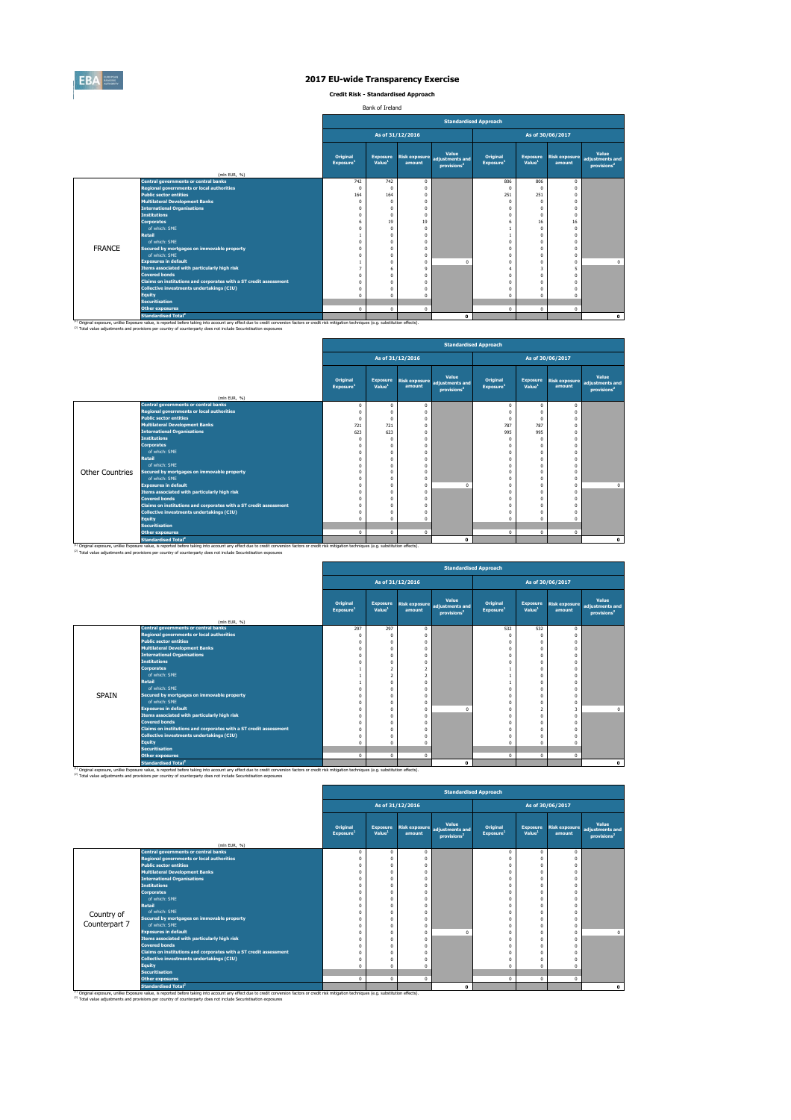

**Credit Risk - Standardised Approach**

Bank of Ireland

(2) Total value adjustments and provisions per country of counterparty does not include Securistisation exposures

|               |                                                                   |                                          |                                       |                  |                                                                          | <b>Standardised Approach</b>             |                                       |                                |                                                            |
|---------------|-------------------------------------------------------------------|------------------------------------------|---------------------------------------|------------------|--------------------------------------------------------------------------|------------------------------------------|---------------------------------------|--------------------------------|------------------------------------------------------------|
|               |                                                                   |                                          |                                       | As of 31/12/2016 |                                                                          |                                          |                                       | As of 30/06/2017               |                                                            |
|               |                                                                   | <b>Original</b><br>Exposure <sup>1</sup> | <b>Exposure</b><br>Value <sup>1</sup> | amount           | <b>Value</b><br>Risk exposure adjustments and<br>provisions <sup>2</sup> | <b>Original</b><br>Exposure <sup>1</sup> | <b>Exposure</b><br>Value <sup>1</sup> | <b>Risk exposure</b><br>amount | <b>Value</b><br>adjustments and<br>provisions <sup>2</sup> |
|               | (mln EUR, $\%$ )                                                  |                                          |                                       |                  |                                                                          |                                          |                                       |                                |                                                            |
|               | <b>Central governments or central banks</b>                       | 742                                      | 742                                   | $\overline{0}$   |                                                                          | 806                                      | 806                                   | $\bf{0}$                       |                                                            |
|               | Regional governments or local authorities                         |                                          | $\Omega$                              | $\mathbf 0$      |                                                                          | $\Omega$                                 |                                       |                                |                                                            |
|               | <b>Public sector entities</b>                                     | 164                                      | 164                                   | $\boldsymbol{0}$ |                                                                          | 251                                      | 251                                   | $\Omega$                       |                                                            |
|               | <b>Multilateral Development Banks</b>                             |                                          |                                       | $\boldsymbol{0}$ |                                                                          |                                          |                                       |                                |                                                            |
|               | <b>International Organisations</b>                                |                                          |                                       | $\boldsymbol{0}$ |                                                                          |                                          |                                       |                                |                                                            |
|               | <b>Institutions</b>                                               |                                          |                                       | $\boldsymbol{0}$ |                                                                          |                                          |                                       | $\mathbf{0}$                   |                                                            |
|               | <b>Corporates</b>                                                 |                                          | 19                                    | 19               |                                                                          |                                          | 16                                    | 16                             |                                                            |
|               | of which: SME                                                     |                                          | $\Omega$                              | $\boldsymbol{0}$ |                                                                          |                                          |                                       | $\overline{0}$                 |                                                            |
|               | <b>Retail</b>                                                     |                                          |                                       | $\mathbf 0$      |                                                                          |                                          |                                       |                                |                                                            |
|               | of which: SME                                                     |                                          |                                       | $\boldsymbol{0}$ |                                                                          |                                          |                                       |                                |                                                            |
| <b>FRANCE</b> | Secured by mortgages on immovable property                        |                                          |                                       | $\mathbf 0$      |                                                                          |                                          |                                       |                                |                                                            |
|               | of which: SME                                                     |                                          |                                       | $\mathbf 0$      |                                                                          |                                          |                                       | $\mathbf{0}$                   |                                                            |
|               | <b>Exposures in default</b>                                       |                                          |                                       | $\overline{0}$   | $\Omega$                                                                 |                                          |                                       |                                | $\mathbf 0$                                                |
|               | Items associated with particularly high risk                      |                                          |                                       | 9                |                                                                          |                                          | 3                                     |                                |                                                            |
|               | <b>Covered bonds</b>                                              |                                          |                                       | $\mathbf 0$      |                                                                          |                                          |                                       |                                |                                                            |
|               | Claims on institutions and corporates with a ST credit assessment |                                          |                                       | $\mathbf 0$      |                                                                          |                                          |                                       |                                |                                                            |
|               | Collective investments undertakings (CIU)                         |                                          |                                       | $\mathbf 0$      |                                                                          |                                          |                                       |                                |                                                            |
|               | <b>Equity</b>                                                     |                                          |                                       | $\mathbf 0$      |                                                                          |                                          |                                       |                                |                                                            |
|               | <b>Securitisation</b>                                             |                                          |                                       |                  |                                                                          |                                          |                                       |                                |                                                            |
|               | <b>Other exposures</b>                                            |                                          | $\mathbf 0$                           | $\mathbf 0$      |                                                                          | $\mathbf 0$                              | $\mathbf 0$                           | $\mathbf 0$                    |                                                            |
|               | <b>Standardised Total<sup>2</sup></b>                             |                                          |                                       |                  | $\mathbf 0$                                                              |                                          |                                       |                                | $\mathbf 0$                                                |

<sup>(1)</sup> Original exposure, unlike Exposure value, is reported before taking into account any effect due to credit conversion factors or credit risk mitigation techniques (e.g. substitution effects).

<sup>(2)</sup> Total value adjustments and provisions per country of counterparty does not include Securistisation exposures

| <b>Lequity</b>                         |  |  |  |  |
|----------------------------------------|--|--|--|--|
| <b>Securitisation</b>                  |  |  |  |  |
| <b>Other exposures</b>                 |  |  |  |  |
| <b>Standardised Total</b> <sup>2</sup> |  |  |  |  |

<sup>(1)</sup> Original exposure, unlike Exposure value, is reported before taking into account any effect due to credit conversion factors or credit risk mitigation techniques (e.g. substitution effects).

|                        |                                                                   | <b>Original</b><br>Exposure <sup>1</sup> | <b>Exposure</b><br>Value <sup>1</sup> | amount         | Value<br>Risk exposure adjustments and<br>provisions <sup>2</sup> | <b>Original</b><br><b>Exposure1</b> | <b>Exposure</b><br>Value <sup>1</sup> | <b>Risk exposure</b><br>amount | <b>Value</b><br>adjustments and<br>provisions <sup>2</sup> |
|------------------------|-------------------------------------------------------------------|------------------------------------------|---------------------------------------|----------------|-------------------------------------------------------------------|-------------------------------------|---------------------------------------|--------------------------------|------------------------------------------------------------|
|                        | (mln EUR, $\%$ )                                                  |                                          |                                       |                |                                                                   |                                     |                                       |                                |                                                            |
|                        | <b>Central governments or central banks</b>                       |                                          |                                       | $\mathbf 0$    |                                                                   |                                     | $\Omega$                              |                                |                                                            |
|                        | Regional governments or local authorities                         |                                          |                                       |                |                                                                   |                                     |                                       |                                |                                                            |
|                        | <b>Public sector entities</b>                                     |                                          |                                       |                |                                                                   |                                     |                                       |                                |                                                            |
|                        | <b>Multilateral Development Banks</b>                             | 721                                      | 721                                   |                |                                                                   | 787                                 | 787                                   |                                |                                                            |
|                        | <b>International Organisations</b>                                | 623                                      | 623                                   |                |                                                                   | 995                                 | 995                                   |                                |                                                            |
|                        | <b>Institutions</b>                                               |                                          |                                       |                |                                                                   |                                     |                                       |                                |                                                            |
|                        | <b>Corporates</b>                                                 |                                          |                                       |                |                                                                   |                                     |                                       |                                |                                                            |
|                        | of which: SME                                                     |                                          |                                       |                |                                                                   |                                     |                                       |                                |                                                            |
|                        | <b>Retail</b>                                                     |                                          |                                       |                |                                                                   |                                     |                                       |                                |                                                            |
|                        | of which: SME                                                     |                                          |                                       |                |                                                                   |                                     |                                       |                                |                                                            |
| <b>Other Countries</b> | Secured by mortgages on immovable property                        |                                          |                                       |                |                                                                   |                                     |                                       |                                |                                                            |
|                        | of which: SME                                                     |                                          |                                       | $\mathbf 0$    |                                                                   |                                     |                                       |                                |                                                            |
|                        | <b>Exposures in default</b>                                       |                                          |                                       | $\overline{0}$ |                                                                   |                                     |                                       |                                | $\mathbf{0}$                                               |
|                        | Items associated with particularly high risk                      |                                          |                                       |                |                                                                   |                                     |                                       |                                |                                                            |
|                        | <b>Covered bonds</b>                                              |                                          |                                       |                |                                                                   |                                     |                                       |                                |                                                            |
|                        | Claims on institutions and corporates with a ST credit assessment |                                          |                                       |                |                                                                   |                                     |                                       |                                |                                                            |
|                        | <b>Collective investments undertakings (CIU)</b>                  |                                          |                                       |                |                                                                   |                                     |                                       |                                |                                                            |
|                        | <b>Equity</b>                                                     |                                          |                                       |                |                                                                   |                                     |                                       |                                |                                                            |
|                        | <b>Securitisation</b>                                             |                                          |                                       |                |                                                                   |                                     |                                       |                                |                                                            |
|                        | <b>Other exposures</b>                                            | $\Omega$                                 | $\Omega$                              | $\overline{0}$ |                                                                   | $\mathbf 0$                         | $\overline{0}$                        | $\Omega$                       |                                                            |
|                        | <b>Standardised Total<sup>2</sup></b>                             |                                          |                                       |                | $\mathbf 0$                                                       |                                     |                                       |                                | $\mathbf 0$                                                |

(1) Original exposure, unlike Exposure value, is reported before taking into account any effect due to credit conversion factors or credit risk mitigation techniques (e.g. substitution effects).

(2) Total value adjustments and provisions per country of counterparty does not include Securistisation exposures

|              |                                                                   |                                       |                                       |                  |                                                                   | <b>Standardised Approach</b>             |                                       |                  |                                                                          |
|--------------|-------------------------------------------------------------------|---------------------------------------|---------------------------------------|------------------|-------------------------------------------------------------------|------------------------------------------|---------------------------------------|------------------|--------------------------------------------------------------------------|
|              |                                                                   |                                       |                                       | As of 31/12/2016 |                                                                   |                                          |                                       | As of 30/06/2017 |                                                                          |
|              | (mln EUR, $\%$ )                                                  | <b>Original</b><br>$\sf [Exposure^1]$ | <b>Exposure</b><br>Value <sup>1</sup> | amount           | Value<br>Risk exposure adjustments and<br>provisions <sup>2</sup> | <b>Original</b><br>Exposure <sup>1</sup> | <b>Exposure</b><br>Value <sup>1</sup> | amount           | <b>Value</b><br>Risk exposure adjustments and<br>provisions <sup>2</sup> |
|              | <b>Central governments or central banks</b>                       | 297                                   | 297                                   | $\overline{0}$   |                                                                   | 532                                      | 532                                   | $\mathbf 0$      |                                                                          |
|              | Regional governments or local authorities                         |                                       |                                       |                  |                                                                   |                                          |                                       |                  |                                                                          |
|              | <b>Public sector entities</b>                                     |                                       |                                       |                  |                                                                   |                                          |                                       |                  |                                                                          |
|              | <b>Multilateral Development Banks</b>                             |                                       |                                       |                  |                                                                   |                                          |                                       |                  |                                                                          |
|              | <b>International Organisations</b>                                |                                       |                                       |                  |                                                                   |                                          |                                       |                  |                                                                          |
|              | <b>Institutions</b>                                               |                                       |                                       |                  |                                                                   |                                          |                                       |                  |                                                                          |
|              | <b>Corporates</b>                                                 |                                       |                                       |                  |                                                                   |                                          |                                       |                  |                                                                          |
|              | of which: SME                                                     |                                       |                                       |                  |                                                                   |                                          |                                       |                  |                                                                          |
|              | <b>Retail</b>                                                     |                                       |                                       |                  |                                                                   |                                          |                                       |                  |                                                                          |
|              | of which: SME                                                     |                                       |                                       |                  |                                                                   |                                          |                                       |                  |                                                                          |
| <b>SPAIN</b> | Secured by mortgages on immovable property                        |                                       |                                       |                  |                                                                   |                                          |                                       |                  |                                                                          |
|              | of which: SME                                                     |                                       |                                       | $\mathbf 0$      |                                                                   |                                          |                                       | $\mathbf 0$      |                                                                          |
|              | <b>Exposures in default</b>                                       |                                       |                                       | $\mathbf 0$      | $\Omega$                                                          |                                          |                                       | 3                | $\mathbf{0}$                                                             |
|              | Items associated with particularly high risk                      |                                       |                                       |                  |                                                                   |                                          |                                       |                  |                                                                          |
|              | <b>Covered bonds</b>                                              |                                       |                                       |                  |                                                                   |                                          |                                       |                  |                                                                          |
|              | Claims on institutions and corporates with a ST credit assessment |                                       |                                       |                  |                                                                   |                                          |                                       |                  |                                                                          |
|              | <b>Collective investments undertakings (CIU)</b>                  |                                       |                                       | $\Omega$         |                                                                   |                                          |                                       |                  |                                                                          |
|              |                                                                   |                                       |                                       |                  |                                                                   |                                          |                                       |                  |                                                                          |

|               |                                                                   |                                          |                                       |                  |                                                                          | <b>Standardised Approach</b>                          |                                       |                                |                                                            |
|---------------|-------------------------------------------------------------------|------------------------------------------|---------------------------------------|------------------|--------------------------------------------------------------------------|-------------------------------------------------------|---------------------------------------|--------------------------------|------------------------------------------------------------|
|               |                                                                   |                                          |                                       | As of 31/12/2016 |                                                                          |                                                       |                                       | As of 30/06/2017               |                                                            |
|               |                                                                   | <b>Original</b><br>Exposure <sup>1</sup> | <b>Exposure</b><br>Value <sup>1</sup> | amount           | <b>Value</b><br>Risk exposure adjustments and<br>provisions <sup>2</sup> | <b>Original</b><br>$\overline{\mathsf{[Exposure]}^1}$ | <b>Exposure</b><br>Value <sup>1</sup> | <b>Risk exposure</b><br>amount | <b>Value</b><br>adjustments and<br>provisions <sup>2</sup> |
|               | (mln EUR, $\%$ )                                                  |                                          |                                       |                  |                                                                          |                                                       |                                       |                                |                                                            |
|               | <b>Central governments or central banks</b>                       |                                          | 0                                     |                  |                                                                          | $\Omega$                                              | $\mathbf{0}$                          | $\mathbf 0$                    |                                                            |
|               | Regional governments or local authorities                         |                                          |                                       |                  |                                                                          |                                                       |                                       |                                |                                                            |
|               | <b>Public sector entities</b>                                     |                                          |                                       |                  |                                                                          |                                                       |                                       |                                |                                                            |
|               | <b>Multilateral Development Banks</b>                             |                                          |                                       |                  |                                                                          |                                                       |                                       | $\Omega$                       |                                                            |
|               | <b>International Organisations</b>                                |                                          |                                       |                  |                                                                          |                                                       |                                       |                                |                                                            |
|               | <b>Institutions</b>                                               |                                          |                                       |                  |                                                                          |                                                       |                                       | $\Omega$                       |                                                            |
|               | <b>Corporates</b><br>of which: SME                                |                                          |                                       |                  |                                                                          |                                                       |                                       |                                |                                                            |
|               | <b>Retail</b>                                                     |                                          |                                       |                  |                                                                          |                                                       |                                       |                                |                                                            |
|               | of which: SME                                                     |                                          |                                       |                  |                                                                          |                                                       |                                       |                                |                                                            |
| Country of    | Secured by mortgages on immovable property                        |                                          |                                       |                  |                                                                          |                                                       |                                       |                                |                                                            |
| Counterpart 7 | of which: SME                                                     |                                          |                                       |                  |                                                                          |                                                       |                                       | $\boldsymbol{0}$               |                                                            |
|               | <b>Exposures in default</b>                                       |                                          |                                       |                  |                                                                          |                                                       |                                       | $\mathbf{0}$                   | $\mathbf{0}$                                               |
|               | Items associated with particularly high risk                      |                                          |                                       |                  |                                                                          |                                                       |                                       |                                |                                                            |
|               | <b>Covered bonds</b>                                              |                                          |                                       |                  |                                                                          |                                                       |                                       |                                |                                                            |
|               | Claims on institutions and corporates with a ST credit assessment |                                          |                                       |                  |                                                                          |                                                       |                                       |                                |                                                            |
|               | Collective investments undertakings (CIU)                         |                                          |                                       |                  |                                                                          |                                                       |                                       |                                |                                                            |
|               | <b>Equity</b>                                                     |                                          |                                       |                  |                                                                          |                                                       |                                       |                                |                                                            |
|               | <b>Securitisation</b>                                             |                                          |                                       |                  |                                                                          |                                                       |                                       |                                |                                                            |
|               | <b>Other exposures</b>                                            |                                          | $\mathbf 0$                           | $\Omega$         |                                                                          | $\mathbf{0}$                                          | $\mathbf 0$                           | $\mathbf 0$                    |                                                            |
|               | <b>Standardised Total<sup>2</sup></b>                             |                                          |                                       |                  | $\mathbf 0$                                                              |                                                       |                                       |                                | $\mathbf 0$                                                |

<sup>(1)</sup> Original exposure, unlike Exposure value, is reported before taking into account any effect due to credit conversion factors or credit risk mitigation techniques (e.g. substitution effects).

 $^{(2)}$  Total value adjustments and provisions per country of counterparty does not include Securistisation exposures

|  |                  | Standardised Approach |                  |  |
|--|------------------|-----------------------|------------------|--|
|  | As of 31/12/2016 |                       | As of 30/06/2017 |  |
|  |                  |                       |                  |  |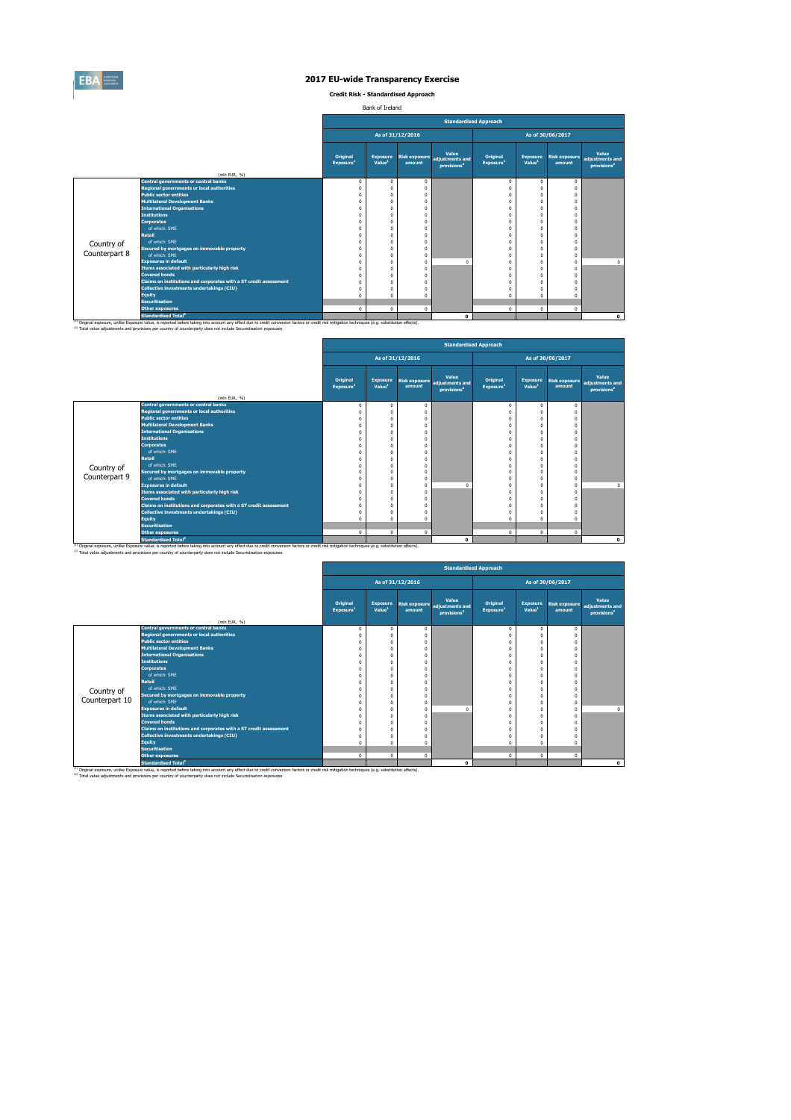

**Credit Risk - Standardised Approach**

Bank of Ireland

|               |                                                                   |                                          |                                       |                  |                                                                          | <b>Standardised Approach</b>                          |                                       |                                |                                                            |
|---------------|-------------------------------------------------------------------|------------------------------------------|---------------------------------------|------------------|--------------------------------------------------------------------------|-------------------------------------------------------|---------------------------------------|--------------------------------|------------------------------------------------------------|
|               |                                                                   |                                          |                                       | As of 31/12/2016 |                                                                          |                                                       |                                       | As of 30/06/2017               |                                                            |
|               |                                                                   | <b>Original</b><br>Exposure <sup>1</sup> | <b>Exposure</b><br>Value <sup>1</sup> | amount           | <b>Value</b><br>Risk exposure adjustments and<br>provisions <sup>2</sup> | <b>Original</b><br>$\overline{\mathsf{[Exposure]}^1}$ | <b>Exposure</b><br>Value <sup>1</sup> | <b>Risk exposure</b><br>amount | <b>Value</b><br>adjustments and<br>provisions <sup>2</sup> |
|               | (mln EUR, $\%$ )                                                  |                                          |                                       |                  |                                                                          |                                                       |                                       |                                |                                                            |
|               | <b>Central governments or central banks</b>                       |                                          | $\mathbf 0$                           | $\mathbf 0$      |                                                                          | $\mathbf 0$                                           |                                       | $\bf{0}$                       |                                                            |
|               | Regional governments or local authorities                         |                                          |                                       |                  |                                                                          |                                                       |                                       |                                |                                                            |
|               | <b>Public sector entities</b>                                     |                                          | $\Omega$                              |                  |                                                                          |                                                       |                                       |                                |                                                            |
|               | <b>Multilateral Development Banks</b>                             |                                          |                                       |                  |                                                                          |                                                       |                                       |                                |                                                            |
|               | <b>International Organisations</b><br><b>Institutions</b>         |                                          |                                       |                  |                                                                          |                                                       |                                       |                                |                                                            |
|               | <b>Corporates</b>                                                 |                                          | $\Omega$                              |                  |                                                                          |                                                       |                                       |                                |                                                            |
|               | of which: SME                                                     |                                          |                                       |                  |                                                                          |                                                       |                                       |                                |                                                            |
|               | <b>Retail</b>                                                     |                                          |                                       |                  |                                                                          |                                                       |                                       |                                |                                                            |
|               | of which: SME                                                     |                                          |                                       |                  |                                                                          |                                                       |                                       |                                |                                                            |
| Country of    | Secured by mortgages on immovable property                        |                                          |                                       |                  |                                                                          |                                                       |                                       |                                |                                                            |
| Counterpart 8 | of which: SME                                                     |                                          | $\Omega$                              | 0                |                                                                          |                                                       |                                       | $\mathbf{0}$                   |                                                            |
|               | <b>Exposures in default</b>                                       |                                          |                                       | $\overline{0}$   | $\mathbf{0}$                                                             |                                                       |                                       | 0                              | $\mathbf{0}$                                               |
|               | Items associated with particularly high risk                      |                                          |                                       |                  |                                                                          |                                                       |                                       |                                |                                                            |
|               | <b>Covered bonds</b>                                              |                                          |                                       |                  |                                                                          |                                                       |                                       |                                |                                                            |
|               | Claims on institutions and corporates with a ST credit assessment |                                          |                                       |                  |                                                                          |                                                       |                                       |                                |                                                            |
|               | <b>Collective investments undertakings (CIU)</b>                  |                                          |                                       |                  |                                                                          |                                                       |                                       |                                |                                                            |
|               | <b>Equity</b>                                                     |                                          |                                       |                  |                                                                          |                                                       |                                       |                                |                                                            |
|               | <b>Securitisation</b>                                             |                                          |                                       |                  |                                                                          |                                                       |                                       |                                |                                                            |
|               | <b>Other exposures</b>                                            | $\mathbf{0}$                             | $\mathbf 0$                           | $\mathbf 0$      |                                                                          | $\mathbf 0$                                           | $\mathbf 0$                           | $\mathbf 0$                    |                                                            |
|               | <b>Standardised Total<sup>2</sup></b>                             |                                          |                                       |                  | $\mathbf 0$                                                              |                                                       |                                       |                                | $\mathbf 0$                                                |

<sup>(1)</sup> Original exposure, unlike Exposure value, is reported before taking into account any effect due to credit conversion factors or credit risk mitigation techniques (e.g. substitution effects).

<sup>(2)</sup> Total value adjustments and provisions per country of counterparty does not include Securistisation exposures

|               |                                                                   | <b>Original</b><br>Exposure <sup>1</sup> | <b>Exposure</b><br>Value <sup>1</sup> | amount       | Value<br>Risk exposure adjustments and<br>provisions <sup>2</sup> | <b>Original</b><br>$\sf [Exposure^1]$ | <b>Exposure</b><br>Value <sup>1</sup> | Risk exposure<br>amount | <b>Value</b><br>adjustments and<br>provisions <sup>2</sup> |
|---------------|-------------------------------------------------------------------|------------------------------------------|---------------------------------------|--------------|-------------------------------------------------------------------|---------------------------------------|---------------------------------------|-------------------------|------------------------------------------------------------|
|               | (mln EUR, $\%$ )                                                  |                                          |                                       |              |                                                                   |                                       |                                       |                         |                                                            |
|               | <b>Central governments or central banks</b>                       |                                          | $\Omega$                              | $\mathbf{0}$ |                                                                   |                                       |                                       |                         |                                                            |
|               | Regional governments or local authorities                         |                                          |                                       |              |                                                                   |                                       |                                       |                         |                                                            |
|               | <b>Public sector entities</b>                                     |                                          |                                       |              |                                                                   |                                       |                                       |                         |                                                            |
|               | <b>Multilateral Development Banks</b>                             |                                          |                                       |              |                                                                   |                                       |                                       |                         |                                                            |
|               | <b>International Organisations</b>                                |                                          |                                       |              |                                                                   |                                       |                                       |                         |                                                            |
|               | <b>Institutions</b>                                               |                                          |                                       |              |                                                                   |                                       |                                       |                         |                                                            |
|               | <b>Corporates</b>                                                 |                                          |                                       |              |                                                                   |                                       |                                       |                         |                                                            |
|               | of which: SME                                                     |                                          |                                       |              |                                                                   |                                       |                                       |                         |                                                            |
|               | <b>Retail</b>                                                     |                                          |                                       |              |                                                                   |                                       |                                       |                         |                                                            |
| Country of    | of which: SME                                                     |                                          |                                       |              |                                                                   |                                       |                                       |                         |                                                            |
|               | Secured by mortgages on immovable property                        |                                          |                                       |              |                                                                   |                                       |                                       |                         |                                                            |
| Counterpart 9 | of which: SME                                                     |                                          |                                       | $\Omega$     |                                                                   |                                       |                                       |                         |                                                            |
|               | <b>Exposures in default</b>                                       |                                          |                                       | $\Omega$     |                                                                   |                                       |                                       |                         | $\mathbf{0}$                                               |
|               | Items associated with particularly high risk                      |                                          |                                       |              |                                                                   |                                       |                                       |                         |                                                            |
|               | <b>Covered bonds</b>                                              |                                          |                                       |              |                                                                   |                                       |                                       |                         |                                                            |
|               | Claims on institutions and corporates with a ST credit assessment |                                          |                                       |              |                                                                   |                                       |                                       |                         |                                                            |
|               | Collective investments undertakings (CIU)                         |                                          |                                       |              |                                                                   |                                       |                                       |                         |                                                            |
|               | <b>Equity</b>                                                     |                                          |                                       |              |                                                                   |                                       |                                       |                         |                                                            |
|               | <b>Securitisation</b>                                             |                                          |                                       |              |                                                                   |                                       |                                       |                         |                                                            |
|               | Other exposures                                                   | $\mathbf{0}$                             | $\mathbf 0$                           | $\mathbf 0$  |                                                                   | $\Omega$                              | $\mathbf{0}$                          | $\mathbf{0}$            |                                                            |
|               | <b>Standardised Total<sup>2</sup></b>                             |                                          |                                       |              | $\mathbf 0$                                                       |                                       |                                       |                         | $\mathbf 0$                                                |

<sup>(1)</sup> Original exposure, unlike Exposure value, is reported before taking into account any effect due to credit conversion factors or credit risk mitigation techniques (e.g. substitution effects).

 $^{(2)}$  Total value adjustments and provisions per country of counterparty does not include Securistisation exposures

|                |                                                                   |                                          |                                       |                  |                                                                   | <b>Standardised Approach</b>             |                                       |                                |                                                            |
|----------------|-------------------------------------------------------------------|------------------------------------------|---------------------------------------|------------------|-------------------------------------------------------------------|------------------------------------------|---------------------------------------|--------------------------------|------------------------------------------------------------|
|                |                                                                   |                                          |                                       | As of 31/12/2016 |                                                                   |                                          |                                       | As of 30/06/2017               |                                                            |
|                | (mln EUR, $%$ )                                                   | <b>Original</b><br>Exposure <sup>1</sup> | <b>Exposure</b><br>Value <sup>1</sup> | amount           | Value<br>Risk exposure adjustments and<br>provisions <sup>2</sup> | <b>Original</b><br>Exposure <sup>1</sup> | <b>Exposure</b><br>Value <sup>1</sup> | <b>Risk exposure</b><br>amount | <b>Value</b><br>adjustments and<br>provisions <sup>2</sup> |
|                | <b>Central governments or central banks</b>                       |                                          | $\Omega$                              |                  |                                                                   |                                          | $\mathbf 0$                           | $\mathbf 0$                    |                                                            |
|                | Regional governments or local authorities                         |                                          |                                       |                  |                                                                   |                                          |                                       |                                |                                                            |
|                | <b>Public sector entities</b>                                     |                                          |                                       |                  |                                                                   |                                          |                                       |                                |                                                            |
|                | <b>Multilateral Development Banks</b>                             |                                          |                                       |                  |                                                                   |                                          |                                       |                                |                                                            |
|                | <b>International Organisations</b>                                |                                          |                                       |                  |                                                                   |                                          |                                       |                                |                                                            |
|                | <b>Institutions</b>                                               |                                          |                                       |                  |                                                                   |                                          |                                       |                                |                                                            |
|                | <b>Corporates</b>                                                 |                                          |                                       |                  |                                                                   |                                          |                                       |                                |                                                            |
|                | of which: SME                                                     |                                          |                                       |                  |                                                                   |                                          |                                       |                                |                                                            |
|                | <b>Retail</b>                                                     |                                          |                                       |                  |                                                                   |                                          |                                       |                                |                                                            |
| Country of     | of which: SME                                                     |                                          |                                       |                  |                                                                   |                                          |                                       |                                |                                                            |
|                | Secured by mortgages on immovable property                        |                                          |                                       |                  |                                                                   |                                          |                                       |                                |                                                            |
| Counterpart 10 | of which: SME                                                     |                                          |                                       |                  |                                                                   |                                          |                                       | $\Omega$                       |                                                            |
|                | <b>Exposures in default</b>                                       |                                          |                                       |                  | $\overline{0}$                                                    |                                          |                                       | $\Omega$                       | $\mathbf 0$                                                |
|                | Items associated with particularly high risk                      |                                          |                                       |                  |                                                                   |                                          |                                       |                                |                                                            |
|                | <b>Covered bonds</b>                                              |                                          |                                       |                  |                                                                   |                                          |                                       |                                |                                                            |
|                | Claims on institutions and corporates with a ST credit assessment |                                          |                                       |                  |                                                                   |                                          |                                       |                                |                                                            |
|                | <b>Collective investments undertakings (CIU)</b>                  |                                          |                                       |                  |                                                                   |                                          |                                       |                                |                                                            |
|                | <b>Equity</b>                                                     |                                          |                                       |                  |                                                                   |                                          | $\Omega$                              |                                |                                                            |
|                | <b>Securitisation</b>                                             |                                          |                                       |                  |                                                                   |                                          |                                       |                                |                                                            |
|                | <b>Other exposures</b>                                            | $\Omega$                                 | $\mathbf 0$                           | $\Omega$         |                                                                   | $\mathbf 0$                              | $\mathbf 0$                           | $\mathbf 0$                    |                                                            |
|                | <b>Standardised Total<sup>2</sup></b>                             |                                          |                                       |                  | $\mathbf 0$                                                       |                                          |                                       |                                | $\mathbf 0$                                                |

<sup>(1)</sup> Original exposure, unlike Exposure value, is reported before taking into account any effect due to credit conversion factors or credit risk mitigation techniques (e.g. substitution effects).

(2) Total value adjustments and provisions per country of counterparty does not include Securistisation exposures

|  |                  | <b>Standardised Approach</b> |                  |  |
|--|------------------|------------------------------|------------------|--|
|  | As of 31/12/2016 |                              | As of 30/06/2017 |  |
|  |                  |                              |                  |  |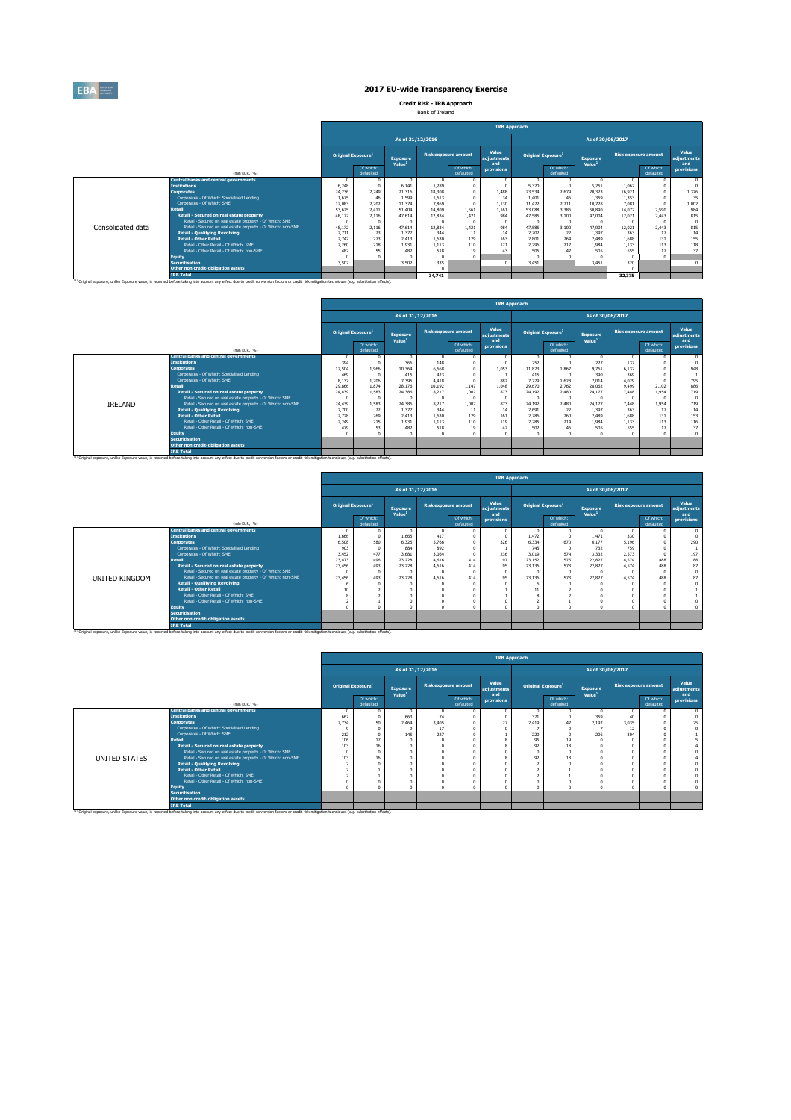|                   |                                                              |                                       |                        |                                       |                             |                        | <b>IRB Approach</b>         |                                |                        |                                       |                             |                        |                                    |
|-------------------|--------------------------------------------------------------|---------------------------------------|------------------------|---------------------------------------|-----------------------------|------------------------|-----------------------------|--------------------------------|------------------------|---------------------------------------|-----------------------------|------------------------|------------------------------------|
|                   |                                                              |                                       |                        | As of 31/12/2016                      |                             |                        |                             |                                |                        | As of 30/06/2017                      |                             |                        |                                    |
|                   |                                                              | <b>Original Exposure</b> <sup>1</sup> |                        | <b>Exposure</b><br>Value <sup>1</sup> | <b>Risk exposure amount</b> |                        | Value<br>adjustments<br>and | Original Exposure <sup>1</sup> |                        | <b>Exposure</b><br>Value <sup>1</sup> | <b>Risk exposure amount</b> |                        | <b>Value</b><br>adjustments<br>and |
|                   | (mln EUR, $%$ )                                              |                                       | Of which:<br>defaulted |                                       |                             | Of which:<br>defaulted | provisions                  |                                | Of which:<br>defaulted |                                       |                             | Of which:<br>defaulted | provisions                         |
|                   | <b>Central banks and central governments</b>                 | $\bf{0}$                              | $\mathbf{0}$           | $\mathbf 0$                           |                             |                        |                             |                                | $\mathbf{0}$           |                                       |                             |                        | $\mathbf 0$                        |
|                   | <b>Institutions</b>                                          | 6,248                                 | $\Omega$               | 6,141                                 | 1,289                       |                        |                             | 5,370                          | $\Omega$               | 5,251                                 | 1,062                       |                        | $\mathbf 0$                        |
|                   | <b>Corporates</b>                                            | 24,236                                | 2,749                  | 21,316                                | 18,308                      |                        | 1,488                       | 23,534                         | 2,679                  | 20,323                                | 16,921                      |                        | 1,326                              |
|                   | Corporates - Of Which: Specialised Lending                   | 1,675                                 | 46                     | 1,599                                 | 1,613                       |                        | 34                          | 1,401                          | 46                     | 1,359                                 | 1,353                       |                        | 35                                 |
|                   | Corporates - Of Which: SME                                   | 12,083                                | 2,202                  | 11,374                                | 7,869                       |                        | 1,130                       | 11,472                         | 2,211                  | 10,728                                | 7,081                       |                        | 1,002                              |
|                   | <b>Retail</b>                                                | 53,625                                | 2,411                  | 51,404                                | 14,809                      | 1,561                  | 1,161                       | 53,088                         | 3,386                  | 50,890                                | 14,072                      | 2,590                  | 984                                |
|                   | <b>Retail - Secured on real estate property</b>              | 48,172                                | 2,116                  | 47,614                                | 12,834                      | 1,421                  | 984                         | 47,585                         | 3,100                  | 47,004                                | 12,021                      | 2,443                  | 815                                |
|                   | Retail - Secured on real estate property - Of Which: SME     |                                       | $\bf{0}$               | $\mathbf{0}$                          |                             |                        |                             |                                | $\Omega$               |                                       |                             |                        | $\mathbf 0$                        |
| Consolidated data | Retail - Secured on real estate property - Of Which: non-SME | 48,172                                | 2,116                  | 47,614                                | 12,834                      | 1,421                  | 984                         | 47,585                         | 3,100                  | 47,004                                | 12,021                      | 2,443                  | 815                                |
|                   | <b>Retail - Qualifying Revolving</b>                         | 2,711                                 | 23                     | 1,377                                 | 344                         | 11                     | 14                          | 2,702                          | 22                     | 1,397                                 | 363                         | 17                     | 14                                 |
|                   | <b>Retail - Other Retail</b>                                 | 2,742                                 | 273                    | 2,413                                 | 1,630                       | 129                    | 163                         | 2,801                          | 264                    | 2,489                                 | 1,688                       | 131                    | 155                                |
|                   | Retail - Other Retail - Of Which: SME                        | 2,260                                 | 218                    | 1,931                                 | 1,113                       | 110                    | 121                         | 2,296                          | 217                    | 1,984                                 | 1,133                       | 113                    | 118                                |
|                   | Retail - Other Retail - Of Which: non-SME                    | 482                                   | 55                     | 482                                   | 518                         | 19                     | 43                          | 505                            | 47                     | 505                                   | 555                         | 17                     | 37                                 |
|                   | <b>Equity</b>                                                |                                       |                        |                                       |                             |                        |                             |                                |                        |                                       |                             | $\bigcap$              |                                    |
|                   | Securitisation                                               | 3,502                                 |                        | 3,502                                 | 335                         |                        |                             | 3,451                          |                        | 3,451                                 | 320                         |                        | $\overline{0}$                     |
|                   | Other non credit-obligation assets                           |                                       |                        |                                       |                             |                        |                             |                                |                        |                                       |                             |                        |                                    |
|                   | <b>IRB Total</b>                                             |                                       |                        |                                       | 34,741                      |                        |                             |                                |                        |                                       | 32,375                      |                        |                                    |

<sup>(1)</sup> Original exposure, unlike Exposure value, is reported before taking into account any effect due to credit conversion factors or credit risk mitigation techniques (e.g. substitution effects).

|                |                                                                      |                |                                       |                                       |                  |                             | <b>IRB Approach</b>         |                                       |                        |                                       |                  |                        |                                    |
|----------------|----------------------------------------------------------------------|----------------|---------------------------------------|---------------------------------------|------------------|-----------------------------|-----------------------------|---------------------------------------|------------------------|---------------------------------------|------------------|------------------------|------------------------------------|
|                |                                                                      |                |                                       |                                       | As of 31/12/2016 |                             |                             |                                       |                        |                                       | As of 30/06/2017 |                        |                                    |
|                |                                                                      |                | <b>Original Exposure</b> <sup>1</sup> | <b>Exposure</b><br>Value <sup>1</sup> |                  | <b>Risk exposure amount</b> | Value<br>adjustments<br>and | <b>Original Exposure</b> <sup>1</sup> |                        | <b>Exposure</b><br>Value <sup>1</sup> |                  | Risk exposure amount   | <b>Value</b><br>adjustments<br>and |
|                | (mln EUR, %)                                                         |                | Of which:<br>defaulted                |                                       |                  | Of which:<br>defaulted      | <b>provisions</b>           |                                       | Of which:<br>defaulted |                                       |                  | Of which:<br>defaulted | <b>provisions</b>                  |
|                | <b>Central banks and central governments</b>                         | $\overline{0}$ | $\Omega$                              |                                       |                  | -0                          |                             |                                       |                        | $\overline{0}$                        |                  |                        |                                    |
|                | <b>Institutions</b>                                                  | 394            |                                       | 366                                   | 148              |                             |                             | 252                                   |                        | 227                                   | 137              |                        |                                    |
|                | <b>Corporates</b>                                                    | 12,504         | 1,966                                 | 10,364                                | 6,668            |                             | 1,053                       | 11,873                                | 1,867                  | 9,761                                 | 6,132            |                        | 948                                |
|                | Corporates - Of Which: Specialised Lending                           | 469            |                                       | 415                                   | 423              |                             |                             | 415                                   |                        | 390                                   | 369              |                        |                                    |
|                | Corporates - Of Which: SME                                           | 8,137          | 1,706                                 | 7,395                                 | 4,418            |                             | 882                         | 7,779                                 | 1,628                  | 7,014                                 | 4,029            |                        | 795                                |
|                | Retail                                                               | 29,866         | 1,874                                 | 28,176                                | 10,192           | 1,147                       | 1,048                       | 29,670                                | 2,762                  | 28,062                                | 9,499            | 2,102                  | 886                                |
|                | Retail - Secured on real estate property                             | 24,439         | 1,583                                 | 24,386                                | 8,217            | 1,007                       | 873                         | 24,192                                | 2,480                  | 24,177                                | 7,448            | 1,954                  | 719                                |
|                | Retail - Secured on real estate property - Of Which: SME             |                |                                       |                                       |                  |                             |                             |                                       | - ೧                    |                                       |                  |                        |                                    |
| <b>IRELAND</b> | Retail - Secured on real estate property - Of Which: non-SME         | 24,439         | 1,583                                 | 24,386                                | 8,217            | 1,007                       | 873                         | 24,192                                | 2,480                  | 24,177                                | 7,448            | 1,954                  | 719                                |
|                | <b>Retail - Qualifying Revolving</b><br><b>Retail - Other Retail</b> | 2,700<br>2,728 | 22<br>269                             | 1,377                                 | 344              | 11<br>129                   | 14                          | 2,691<br>2,786                        | 22<br>260              | 1,397<br>2,489                        | 363<br>1,688     | 17                     | 14<br>153                          |
|                | Retail - Other Retail - Of Which: SME                                | 2,249          | 215                                   | 2,413<br>1,931                        | 1,630<br>1,113   | 110                         | 161<br>119                  | 2,285                                 | 214                    | 1,984                                 | 1,133            | 131                    | 116                                |
|                | Retail - Other Retail - Of Which: non-SME                            | 479            | 53                                    | 482                                   | 518              | 19                          | 42                          | 502                                   | 46                     | 505                                   | 555              | 113<br>17              | 37                                 |
|                | <b>Equity</b>                                                        |                |                                       |                                       |                  |                             |                             |                                       |                        |                                       |                  |                        |                                    |
|                | <b>Securitisation</b>                                                |                |                                       |                                       |                  |                             |                             |                                       |                        |                                       |                  |                        |                                    |
|                | Other non credit-obligation assets                                   |                |                                       |                                       |                  |                             |                             |                                       |                        |                                       |                  |                        |                                    |
|                | <b>IRB Total</b>                                                     |                |                                       |                                       |                  |                             |                             |                                       |                        |                                       |                  |                        |                                    |

(1) Original exposure, unlike Exposure value, is reported before taking into account any effect due to credit conversion factors or credit risk mitigation techniques (e.g. substitution effects).

|                |                                                              |                                       |                        |                                       |                  |                             |                             | <b>IRB Approach</b>            |                        |                                       |                             |                        |                                    |
|----------------|--------------------------------------------------------------|---------------------------------------|------------------------|---------------------------------------|------------------|-----------------------------|-----------------------------|--------------------------------|------------------------|---------------------------------------|-----------------------------|------------------------|------------------------------------|
|                |                                                              |                                       |                        |                                       | As of 31/12/2016 |                             |                             |                                |                        |                                       | As of 30/06/2017            |                        |                                    |
|                |                                                              | <b>Original Exposure</b> <sup>1</sup> |                        | <b>Exposure</b><br>Value <sup>1</sup> |                  | <b>Risk exposure amount</b> | Value<br>adjustments<br>and | Original Exposure <sup>1</sup> |                        | <b>Exposure</b><br>Value <sup>1</sup> | <b>Risk exposure amount</b> |                        | <b>Value</b><br>adjustments<br>and |
|                | (mln EUR, $%$ )                                              |                                       | Of which:<br>defaulted |                                       |                  | Of which:<br>defaulted      | provisions                  |                                | Of which:<br>defaulted |                                       |                             | Of which:<br>defaulted | provisions                         |
|                | <b>Central banks and central governments</b>                 |                                       |                        |                                       |                  |                             |                             |                                |                        | $\Omega$                              | $\mathbf 0$                 |                        |                                    |
|                | <b>Institutions</b>                                          | 1,666                                 |                        | 1,665                                 | 417              |                             |                             | 1,472                          | $\Omega$               | 1,471                                 | 330                         |                        |                                    |
|                | <b>Corporates</b>                                            | 6,508                                 | 580                    | 6,325                                 | 5,766            |                             | 326                         | 6,334                          | 670                    | 6,177                                 | 5,196                       |                        | 290                                |
|                | Corporates - Of Which: Specialised Lending                   | 903                                   |                        | 884                                   | 892              |                             |                             | 745                            | $\Omega$               | 732                                   | 759                         |                        |                                    |
|                | Corporates - Of Which: SME                                   | 3,452                                 | 477                    | 3,681                                 | 3,064            |                             | 236                         | 3,019                          | 574                    | 3,332                                 | 2,573                       |                        | 197                                |
|                | <b>Retail</b>                                                | 23,473                                | 496                    | 23,228                                | 4,616            | 414                         | 97                          | 23,152                         | 575                    | 22,827                                | 4,574                       | 488                    | 88                                 |
|                | Retail - Secured on real estate property                     | 23,456                                | 493                    | 23,228                                | 4,616            | 414                         | 95                          | 23,136                         | 573                    | 22,827                                | 4,574                       | 488                    | 87                                 |
|                | Retail - Secured on real estate property - Of Which: SME     |                                       |                        |                                       |                  |                             |                             |                                | $\Omega$               |                                       |                             |                        |                                    |
| UNITED KINGDOM | Retail - Secured on real estate property - Of Which: non-SME | 23,456                                | 493                    | 23,228                                | 4,616            | 414                         | 95                          | 23,136                         | 573                    | 22,827                                | 4,574                       | 488                    | 87                                 |
|                | <b>Retail - Qualifying Revolving</b>                         |                                       |                        |                                       |                  |                             |                             |                                | $\Omega$               |                                       |                             |                        |                                    |
|                | <b>Retail - Other Retail</b>                                 | 10                                    |                        |                                       |                  |                             |                             |                                |                        |                                       |                             |                        |                                    |
|                | Retail - Other Retail - Of Which: SME                        |                                       |                        |                                       |                  |                             |                             |                                |                        |                                       |                             |                        |                                    |
|                | Retail - Other Retail - Of Which: non-SME                    |                                       |                        |                                       |                  |                             |                             |                                |                        |                                       |                             |                        |                                    |
|                | <b>Equity</b>                                                |                                       |                        |                                       |                  |                             |                             |                                |                        |                                       |                             |                        |                                    |
|                | <b>Securitisation</b>                                        |                                       |                        |                                       |                  |                             |                             |                                |                        |                                       |                             |                        |                                    |
|                | Other non credit-obligation assets                           |                                       |                        |                                       |                  |                             |                             |                                |                        |                                       |                             |                        |                                    |
|                | <b>IRB Total</b>                                             |                                       |                        |                                       |                  |                             |                             |                                |                        |                                       |                             |                        |                                    |

<sup>(1)</sup> Original exposure, unlike Exposure value, is reported before taking into account any effect due to credit conversion factors or credit risk mitigation techniques (e.g. substitution effects).

|               |                                                              |       |           | Value <sup>1</sup> |       |           | and               |       |           | Value <sup>1</sup> |       |           | and               |
|---------------|--------------------------------------------------------------|-------|-----------|--------------------|-------|-----------|-------------------|-------|-----------|--------------------|-------|-----------|-------------------|
|               |                                                              |       | Of which: |                    |       | Of which: | <b>provisions</b> |       | Of which: |                    |       | Of which: | <b>provisions</b> |
|               | (mln EUR, %)                                                 |       | defaulted |                    |       | defaulted |                   |       | defaulted |                    |       | defaulted |                   |
|               | <b>Central banks and central governments</b>                 |       |           |                    |       |           |                   |       |           |                    |       |           |                   |
|               | <b>Institutions</b>                                          | 667   |           | 663                | 74    |           |                   | 371   |           | 359                | 40    |           |                   |
|               | <b>Corporates</b>                                            | 2,734 | 50        | 2,464              | 3,405 |           |                   | 2,419 |           | 2,192              | 3,035 |           |                   |
|               | Corporates - Of Which: Specialised Lending                   |       |           |                    | 17    |           |                   |       |           |                    | 12    |           |                   |
|               | Corporates - Of Which: SME                                   | 212   |           | 145                | 227   |           |                   | 220   |           | 206                | 304   |           |                   |
|               | <b>Retail</b>                                                | 106   | 17        |                    |       |           |                   | 95    | 19        |                    |       |           |                   |
|               | Retail - Secured on real estate property                     | 103   | 16        |                    |       |           |                   |       | 18        |                    |       |           |                   |
|               | Retail - Secured on real estate property - Of Which: SME     |       |           |                    |       |           |                   |       |           |                    |       |           |                   |
| UNITED STATES | Retail - Secured on real estate property - Of Which: non-SME | 103   | 16        |                    |       |           |                   |       | 18        |                    |       |           |                   |
|               | <b>Retail - Qualifying Revolving</b>                         |       |           |                    |       |           |                   |       |           |                    |       |           |                   |
|               | <b>Retail - Other Retail</b>                                 |       |           |                    |       |           |                   |       |           |                    |       |           |                   |
|               | Retail - Other Retail - Of Which: SME                        |       |           |                    |       |           |                   |       |           |                    |       |           |                   |
|               | Retail - Other Retail - Of Which: non-SME                    |       |           |                    |       |           |                   |       |           |                    |       |           |                   |
|               | <b>Equity</b>                                                |       |           |                    |       |           |                   |       |           |                    |       |           |                   |
|               | <b>Securitisation</b>                                        |       |           |                    |       |           |                   |       |           |                    |       |           |                   |
|               | Other non credit-obligation assets                           |       |           |                    |       |           |                   |       |           |                    |       |           |                   |
|               | <b>IRB Total</b>                                             |       |           |                    |       |           |                   |       |           |                    |       |           |                   |

<sup>(1)</sup> Original exposure, unlike Exposure value, is reported before taking into account any effect due to credit conversion factors or credit risk mitigation techniques (e.g. substitution effects).





# **2017 EU-wide Transparency Exercise**

**Credit Risk - IRB Approach**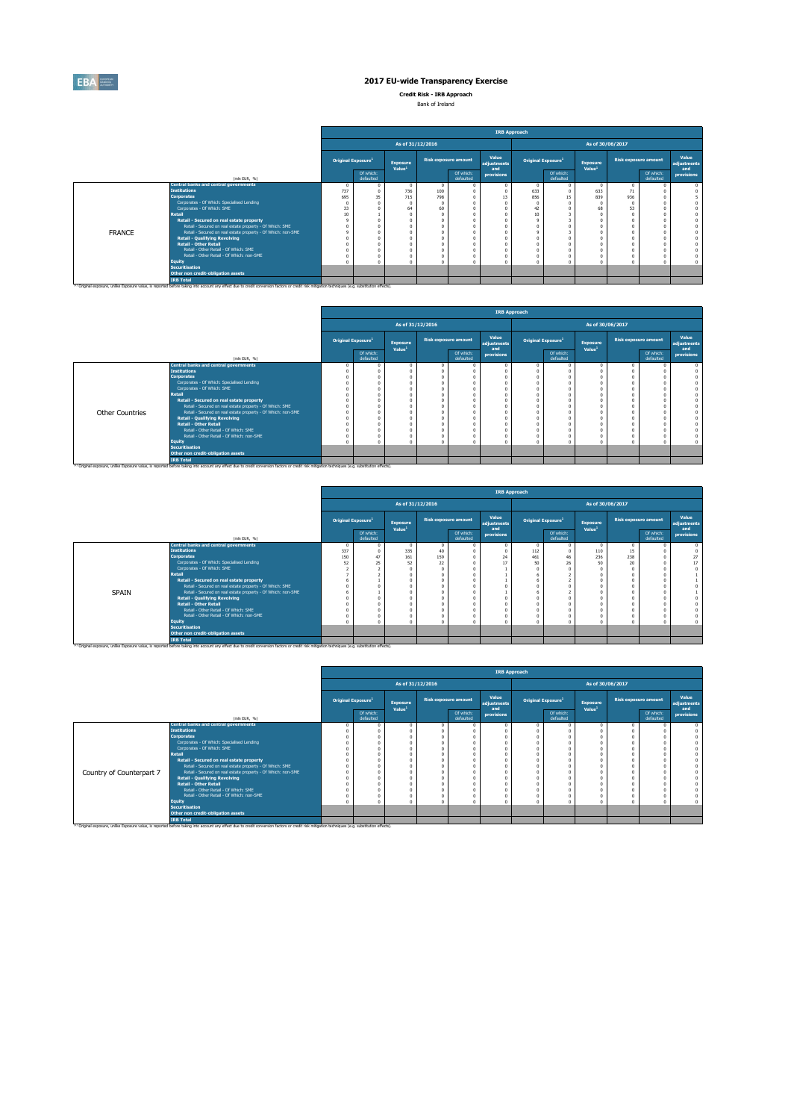

**Credit Risk - IRB Approach**

Bank of Ireland

|               |                                                              |                                |                        |                                       |                             |                        | <b>IRB Approach</b>         |                                      |                        |                                       |                             |                        |                             |
|---------------|--------------------------------------------------------------|--------------------------------|------------------------|---------------------------------------|-----------------------------|------------------------|-----------------------------|--------------------------------------|------------------------|---------------------------------------|-----------------------------|------------------------|-----------------------------|
|               |                                                              |                                |                        | As of 31/12/2016                      |                             |                        |                             |                                      |                        |                                       | As of 30/06/2017            |                        |                             |
|               |                                                              | Original Exposure <sup>1</sup> |                        | <b>Exposure</b><br>Value <sup>1</sup> | <b>Risk exposure amount</b> |                        | Value<br>adjustments<br>and | <b>Original Exposure<sup>1</sup></b> |                        | <b>Exposure</b><br>Value <sup>1</sup> | <b>Risk exposure amount</b> |                        | Value<br>adjustments<br>and |
|               | (mln EUR, $\%$ )                                             |                                | Of which:<br>defaulted |                                       |                             | Of which:<br>defaulted | provisions                  |                                      | Of which:<br>defaulted |                                       |                             | Of which:<br>defaulted | provisions                  |
|               | <b>Central banks and central governments</b>                 | $\mathbf 0$                    |                        |                                       | - റ                         |                        |                             |                                      |                        |                                       | $\bf{0}$                    |                        |                             |
|               | <b>Institutions</b>                                          | 737                            |                        | 736                                   | 100                         |                        |                             | 633                                  |                        | 633                                   | 71                          |                        |                             |
|               | <b>Corporates</b>                                            | 695                            | 35                     | 715                                   | 798                         |                        |                             | 856                                  | 15 <sub>1</sub>        | 839                                   | 936                         |                        |                             |
|               | Corporates - Of Which: Specialised Lending                   |                                |                        |                                       |                             |                        |                             |                                      |                        |                                       |                             |                        |                             |
|               | Corporates - Of Which: SME                                   | 33                             |                        | 64                                    | 60                          |                        |                             |                                      |                        | 68                                    | 53                          |                        |                             |
|               | <b>Retail</b>                                                | 10                             |                        |                                       |                             |                        |                             | 10                                   |                        |                                       |                             |                        |                             |
|               | Retail - Secured on real estate property                     |                                |                        |                                       |                             |                        |                             |                                      |                        |                                       |                             |                        |                             |
|               | Retail - Secured on real estate property - Of Which: SME     |                                |                        |                                       |                             |                        |                             |                                      |                        |                                       |                             |                        |                             |
| <b>FRANCE</b> | Retail - Secured on real estate property - Of Which: non-SME |                                |                        |                                       |                             |                        |                             |                                      |                        |                                       |                             |                        |                             |
|               | <b>Retail - Qualifying Revolving</b>                         |                                |                        |                                       |                             |                        |                             |                                      |                        |                                       |                             |                        |                             |
|               | <b>Retail - Other Retail</b>                                 |                                |                        |                                       |                             |                        |                             |                                      |                        |                                       |                             |                        |                             |
|               | Retail - Other Retail - Of Which: SME                        |                                |                        |                                       |                             |                        |                             |                                      |                        |                                       |                             |                        |                             |
|               | Retail - Other Retail - Of Which: non-SME                    |                                |                        |                                       |                             |                        |                             |                                      |                        |                                       |                             |                        |                             |
|               | <b>Equity</b>                                                |                                |                        |                                       |                             |                        |                             |                                      |                        |                                       |                             |                        | $\mathbf 0$                 |
|               | <b>Securitisation</b>                                        |                                |                        |                                       |                             |                        |                             |                                      |                        |                                       |                             |                        |                             |
|               | Other non credit-obligation assets                           |                                |                        |                                       |                             |                        |                             |                                      |                        |                                       |                             |                        |                             |
|               | <b>IRB Total</b>                                             |                                |                        |                                       |                             |                        |                             |                                      |                        |                                       |                             |                        |                             |

<sup>(1)</sup> Original exposure, unlike Exposure value, is reported before taking into account any effect due to credit conversion factors or credit risk mitigation techniques (e.g. substitution effects).

|                        |                                                              |                  |                                |                                       |                  |                        |                      | <b>IRB Approach</b>                  |                        |                                       |          |                             |                      |
|------------------------|--------------------------------------------------------------|------------------|--------------------------------|---------------------------------------|------------------|------------------------|----------------------|--------------------------------------|------------------------|---------------------------------------|----------|-----------------------------|----------------------|
|                        |                                                              |                  |                                |                                       | As of 31/12/2016 |                        |                      |                                      |                        | As of 30/06/2017                      |          |                             |                      |
|                        |                                                              |                  | Original Exposure <sup>1</sup> | <b>Exposure</b><br>Value <sup>1</sup> |                  | Risk exposure amount   | Value<br>adjustments | <b>Original Exposure<sup>1</sup></b> |                        | <b>Exposure</b><br>Value <sup>1</sup> |          | <b>Risk exposure amount</b> | Value<br>adjustments |
|                        | (mln EUR, %)                                                 |                  | Of which:<br>defaulted         |                                       |                  | Of which:<br>defaulted | and<br>provisions    |                                      | Of which:<br>defaulted |                                       |          | Of which:<br>defaulted      | and<br>provisions    |
|                        | <b>Central banks and central governments</b>                 | $\boldsymbol{0}$ |                                |                                       |                  |                        |                      |                                      |                        | $\mathbf{0}$                          | $\bf{0}$ |                             |                      |
|                        | <b>Institutions</b>                                          |                  |                                |                                       |                  |                        |                      |                                      |                        |                                       | $\Omega$ |                             |                      |
|                        | <b>Corporates</b>                                            |                  |                                |                                       |                  |                        |                      |                                      |                        |                                       |          |                             |                      |
|                        | Corporates - Of Which: Specialised Lending                   |                  |                                |                                       |                  |                        |                      |                                      |                        |                                       |          |                             |                      |
|                        | Corporates - Of Which: SME                                   |                  |                                |                                       |                  |                        |                      |                                      |                        |                                       |          |                             |                      |
|                        | <b>Retail</b>                                                |                  |                                |                                       |                  |                        |                      |                                      |                        |                                       |          |                             |                      |
|                        | Retail - Secured on real estate property                     |                  |                                |                                       |                  |                        |                      |                                      |                        |                                       |          |                             |                      |
|                        | Retail - Secured on real estate property - Of Which: SME     |                  |                                |                                       |                  |                        |                      |                                      |                        |                                       |          |                             |                      |
| <b>Other Countries</b> | Retail - Secured on real estate property - Of Which: non-SME |                  |                                |                                       |                  |                        |                      |                                      |                        |                                       |          |                             |                      |
|                        | <b>Retail - Qualifying Revolving</b>                         |                  |                                |                                       |                  |                        |                      |                                      |                        |                                       |          |                             |                      |
|                        | <b>Retail - Other Retail</b>                                 |                  |                                |                                       |                  |                        |                      |                                      |                        |                                       |          |                             |                      |
|                        | Retail - Other Retail - Of Which: SME                        |                  |                                |                                       |                  |                        |                      |                                      |                        |                                       |          |                             |                      |
|                        | Retail - Other Retail - Of Which: non-SME                    |                  |                                |                                       |                  |                        |                      |                                      |                        |                                       |          |                             |                      |
|                        | <b>Equity</b>                                                |                  |                                |                                       |                  |                        |                      |                                      |                        |                                       |          |                             |                      |
|                        | <b>Securitisation</b>                                        |                  |                                |                                       |                  |                        |                      |                                      |                        |                                       |          |                             |                      |
|                        | Other non credit-obligation assets                           |                  |                                |                                       |                  |                        |                      |                                      |                        |                                       |          |                             |                      |
|                        | <b>IRB Total</b>                                             |                  |                                |                                       |                  |                        |                      |                                      |                        |                                       |          |                             |                      |

<sup>(1)</sup> Original exposure, unlike Exposure value, is reported before taking into account any effect due to credit conversion factors or credit risk mitigation techniques (e.g. substitution effects).

|              |                                                                                                      |          |                                       |                                       |                             |                        |                             | <b>IRB Approach</b> |                                |                                       |                      |                        |                             |
|--------------|------------------------------------------------------------------------------------------------------|----------|---------------------------------------|---------------------------------------|-----------------------------|------------------------|-----------------------------|---------------------|--------------------------------|---------------------------------------|----------------------|------------------------|-----------------------------|
|              |                                                                                                      |          |                                       |                                       | As of 31/12/2016            |                        |                             |                     |                                |                                       | As of 30/06/2017     |                        |                             |
|              |                                                                                                      |          | <b>Original Exposure</b> <sup>1</sup> | <b>Exposure</b><br>Value <sup>1</sup> | <b>Risk exposure amount</b> |                        | Value<br>adjustments<br>and |                     | Original Exposure <sup>1</sup> | <b>Exposure</b><br>Value <sup>1</sup> | Risk exposure amount |                        | Value<br>adjustments<br>and |
|              | (mln EUR, $\%$ )                                                                                     |          | Of which:<br>defaulted                |                                       |                             | Of which:<br>defaulted | provisions                  |                     | Of which:<br>defaulted         |                                       |                      | Of which:<br>defaulted | provisions                  |
|              | <b>Central banks and central governments</b>                                                         | $\bf{0}$ |                                       |                                       |                             |                        |                             |                     |                                | $\overline{0}$                        | $\overline{0}$       |                        |                             |
|              | <b>Institutions</b>                                                                                  | 337      |                                       | 335                                   | 40                          |                        |                             | 112                 |                                | 110                                   | 15                   |                        |                             |
|              | <b>Corporates</b>                                                                                    | 150      | 47                                    | 161                                   | 159                         |                        | 24                          | 461                 | 46                             | 236                                   | 238                  |                        | 27                          |
|              | Corporates - Of Which: Specialised Lending                                                           | 52       | 25                                    | 52                                    | 22                          |                        |                             | 50                  | 26                             | 50                                    | 20                   |                        | 17                          |
|              | Corporates - Of Which: SME                                                                           |          |                                       |                                       |                             |                        |                             |                     |                                |                                       |                      |                        |                             |
|              | <b>Retail</b>                                                                                        |          |                                       |                                       |                             |                        |                             |                     |                                |                                       |                      |                        |                             |
|              | Retail - Secured on real estate property                                                             |          |                                       |                                       |                             |                        |                             |                     |                                |                                       |                      |                        |                             |
|              | Retail - Secured on real estate property - Of Which: SME                                             |          |                                       |                                       |                             |                        |                             |                     |                                |                                       |                      |                        |                             |
| <b>SPAIN</b> | Retail - Secured on real estate property - Of Which: non-SME<br><b>Retail - Qualifying Revolving</b> |          |                                       |                                       |                             |                        |                             |                     |                                |                                       |                      |                        |                             |
|              | <b>Retail - Other Retail</b>                                                                         |          |                                       |                                       |                             |                        |                             |                     |                                |                                       |                      |                        |                             |
|              | Retail - Other Retail - Of Which: SME                                                                |          |                                       |                                       |                             |                        |                             |                     |                                |                                       |                      |                        |                             |
|              | Retail - Other Retail - Of Which: non-SME                                                            |          |                                       |                                       |                             |                        |                             |                     |                                |                                       |                      |                        |                             |
|              | <b>Equity</b>                                                                                        |          |                                       |                                       |                             |                        |                             |                     |                                |                                       |                      |                        | $\Omega$                    |
|              | <b>Securitisation</b>                                                                                |          |                                       |                                       |                             |                        |                             |                     |                                |                                       |                      |                        |                             |
|              | Other non credit-obligation assets                                                                   |          |                                       |                                       |                             |                        |                             |                     |                                |                                       |                      |                        |                             |
|              | <b>IRB Total</b>                                                                                     |          |                                       |                                       |                             |                        |                             |                     |                                |                                       |                      |                        |                             |

<sup>1)</sup> Original exposure, unlike Exposure value, is reported before taking into account any effect due to credit conversion factors or credit risk mitigation techniques (e.g. substitution effects).

|                          |                                                              |                                       |                                       |                             | <b>IRB Approach</b>         |                                       |                        |                                       |                  |                        |                             |
|--------------------------|--------------------------------------------------------------|---------------------------------------|---------------------------------------|-----------------------------|-----------------------------|---------------------------------------|------------------------|---------------------------------------|------------------|------------------------|-----------------------------|
|                          |                                                              |                                       | As of 31/12/2016                      |                             |                             |                                       |                        |                                       | As of 30/06/2017 |                        |                             |
|                          |                                                              | <b>Original Exposure</b> <sup>1</sup> | <b>Exposure</b><br>Value <sup>1</sup> | <b>Risk exposure amount</b> | Value<br>adjustments<br>and | <b>Original Exposure</b> <sup>1</sup> |                        | <b>Exposure</b><br>Value <sup>1</sup> |                  | Risk exposure amount   | Value<br>adjustments<br>and |
|                          | (mln EUR, $\%$ )                                             | Of which:<br>defaulted                |                                       | Of which:<br>defaulted      | provisions                  |                                       | Of which:<br>defaulted |                                       |                  | Of which:<br>defaulted | provisions                  |
|                          | <b>Central banks and central governments</b>                 |                                       |                                       |                             |                             |                                       |                        | $\overline{0}$                        |                  |                        |                             |
|                          | <b>Institutions</b>                                          |                                       |                                       |                             |                             |                                       |                        |                                       |                  |                        |                             |
|                          | <b>Corporates</b>                                            |                                       |                                       |                             |                             |                                       |                        |                                       |                  |                        |                             |
|                          | Corporates - Of Which: Specialised Lending                   |                                       |                                       |                             |                             |                                       |                        |                                       |                  |                        |                             |
|                          | Corporates - Of Which: SME                                   |                                       |                                       |                             |                             |                                       |                        |                                       |                  |                        |                             |
|                          | <b>Retail</b>                                                |                                       |                                       |                             |                             |                                       |                        |                                       |                  |                        |                             |
|                          | Retail - Secured on real estate property                     |                                       |                                       |                             |                             |                                       |                        |                                       |                  |                        |                             |
|                          | Retail - Secured on real estate property - Of Which: SME     |                                       |                                       |                             |                             |                                       |                        |                                       |                  |                        |                             |
| Country of Counterpart 7 | Retail - Secured on real estate property - Of Which: non-SME |                                       |                                       |                             |                             |                                       |                        |                                       |                  |                        |                             |
|                          | <b>Retail - Qualifying Revolving</b>                         |                                       |                                       |                             |                             |                                       |                        |                                       |                  |                        |                             |
|                          | <b>Retail - Other Retail</b>                                 |                                       |                                       |                             |                             |                                       |                        |                                       |                  |                        |                             |
|                          | Retail - Other Retail - Of Which: SME                        |                                       |                                       |                             |                             |                                       |                        |                                       |                  |                        |                             |
|                          | Retail - Other Retail - Of Which: non-SME                    |                                       |                                       |                             |                             |                                       |                        |                                       |                  |                        |                             |
|                          | <b>Equity</b>                                                |                                       |                                       |                             |                             |                                       |                        |                                       |                  |                        |                             |
|                          | <b>Securitisation</b>                                        |                                       |                                       |                             |                             |                                       |                        |                                       |                  |                        |                             |
|                          | Other non credit-obligation assets                           |                                       |                                       |                             |                             |                                       |                        |                                       |                  |                        |                             |
|                          | <b>IRB Total</b>                                             |                                       |                                       |                             |                             |                                       |                        |                                       |                  |                        |                             |

<sup>(1)</sup> Original exposure, unlike Exposure value, is reported before taking into account any effect due to credit conversion factors or credit risk mitigation techniques (e.g. substitution effects).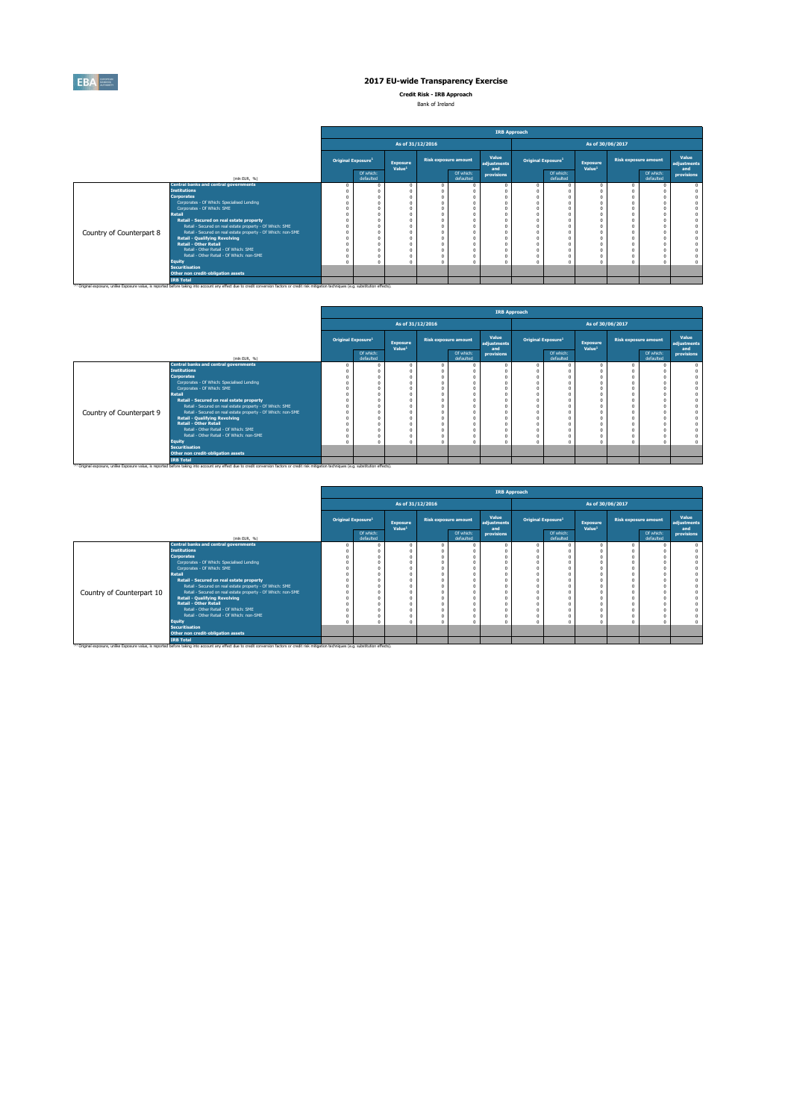

**Credit Risk - IRB Approach**

Bank of Ireland

|                          |                                                                 |                                |                        |                                       |                             |                        | <b>IRB Approach</b>         |                                      |                        |                                       |                             |                        |                                    |
|--------------------------|-----------------------------------------------------------------|--------------------------------|------------------------|---------------------------------------|-----------------------------|------------------------|-----------------------------|--------------------------------------|------------------------|---------------------------------------|-----------------------------|------------------------|------------------------------------|
|                          |                                                                 |                                |                        | As of 31/12/2016                      |                             |                        |                             |                                      |                        |                                       | As of 30/06/2017            |                        |                                    |
|                          |                                                                 | Original Exposure <sup>1</sup> |                        | <b>Exposure</b><br>Value <sup>1</sup> | <b>Risk exposure amount</b> |                        | Value<br>adjustments<br>and | <b>Original Exposure<sup>1</sup></b> |                        | <b>Exposure</b><br>Value <sup>1</sup> | <b>Risk exposure amount</b> |                        | <b>Value</b><br>adjustments<br>and |
|                          | (mln EUR, $\%$ )                                                |                                | Of which:<br>defaulted |                                       |                             | Of which:<br>defaulted | provisions                  |                                      | Of which:<br>defaulted |                                       |                             | Of which:<br>defaulted | provisions                         |
|                          | <b>Central banks and central governments</b>                    |                                |                        |                                       |                             |                        |                             |                                      |                        |                                       |                             |                        |                                    |
|                          | <b>Institutions</b>                                             |                                |                        |                                       |                             |                        |                             |                                      |                        |                                       |                             |                        |                                    |
|                          | <b>Corporates</b><br>Corporates - Of Which: Specialised Lending |                                |                        |                                       |                             |                        |                             |                                      |                        |                                       |                             |                        |                                    |
|                          | Corporates - Of Which: SME                                      |                                |                        |                                       |                             |                        |                             |                                      |                        |                                       |                             |                        |                                    |
|                          | <b>Retail</b>                                                   |                                |                        |                                       |                             |                        |                             |                                      |                        |                                       |                             |                        |                                    |
|                          | Retail - Secured on real estate property                        |                                |                        |                                       |                             |                        |                             |                                      |                        |                                       |                             |                        |                                    |
|                          | Retail - Secured on real estate property - Of Which: SME        |                                |                        |                                       |                             |                        |                             |                                      |                        |                                       |                             |                        |                                    |
| Country of Counterpart 8 | Retail - Secured on real estate property - Of Which: non-SME    |                                |                        |                                       |                             |                        |                             |                                      |                        |                                       |                             |                        |                                    |
|                          | <b>Retail - Qualifying Revolving</b>                            |                                |                        |                                       |                             |                        |                             |                                      |                        |                                       |                             |                        |                                    |
|                          | <b>Retail - Other Retail</b>                                    |                                |                        |                                       |                             |                        |                             |                                      |                        |                                       |                             |                        |                                    |
|                          | Retail - Other Retail - Of Which: SME                           |                                |                        |                                       |                             |                        |                             |                                      |                        |                                       |                             |                        |                                    |
|                          | Retail - Other Retail - Of Which: non-SME                       |                                |                        |                                       |                             |                        |                             |                                      |                        |                                       |                             |                        |                                    |
|                          | <b>Equity</b>                                                   |                                |                        |                                       |                             |                        |                             |                                      |                        |                                       |                             |                        |                                    |
|                          | Securitisation                                                  |                                |                        |                                       |                             |                        |                             |                                      |                        |                                       |                             |                        |                                    |
|                          | Other non credit-obligation assets                              |                                |                        |                                       |                             |                        |                             |                                      |                        |                                       |                             |                        |                                    |
|                          | <b>IRB Total</b><br>$\sim$ $\sim$ $\sim$ $\sim$                 |                                |                        |                                       |                             |                        |                             |                                      |                        |                                       |                             |                        |                                    |

<sup>(1)</sup> Original exposure, unlike Exposure value, is reported before taking into account any effect due to credit conversion factors or credit risk mitigation techniques (e.g. substitution effects).

|                          |                                                              |                                |                                       |                  |                             |                             | <b>IRB Approach</b>                   |                        |                                       |                  |                             |                             |
|--------------------------|--------------------------------------------------------------|--------------------------------|---------------------------------------|------------------|-----------------------------|-----------------------------|---------------------------------------|------------------------|---------------------------------------|------------------|-----------------------------|-----------------------------|
|                          |                                                              |                                |                                       | As of 31/12/2016 |                             |                             |                                       |                        | As of 30/06/2017                      |                  |                             |                             |
|                          |                                                              | Original Exposure <sup>1</sup> | <b>Exposure</b><br>Value <sup>1</sup> |                  | <b>Risk exposure amount</b> | Value<br>adjustments<br>and | <b>Original Exposure</b> <sup>1</sup> |                        | <b>Exposure</b><br>Value <sup>1</sup> |                  | <b>Risk exposure amount</b> | Value<br>adjustments<br>and |
|                          | (mln EUR, %)                                                 | Of which:<br>defaulted         |                                       |                  | Of which:<br>defaulted      | provisions                  |                                       | Of which:<br>defaulted |                                       |                  | Of which:<br>defaulted      | <b>provisions</b>           |
|                          | <b>Central banks and central governments</b>                 |                                | $\Omega$                              |                  |                             |                             |                                       |                        | $\Omega$                              | $\boldsymbol{0}$ |                             |                             |
|                          | <b>Institutions</b>                                          |                                |                                       |                  |                             |                             |                                       |                        |                                       |                  |                             |                             |
|                          | <b>Corporates</b>                                            |                                |                                       |                  |                             |                             |                                       |                        |                                       |                  |                             |                             |
|                          | Corporates - Of Which: Specialised Lending                   |                                |                                       |                  |                             |                             |                                       |                        |                                       |                  |                             |                             |
|                          | Corporates - Of Which: SME                                   |                                |                                       |                  |                             |                             |                                       |                        |                                       |                  |                             |                             |
|                          | <b>Retail</b>                                                |                                |                                       |                  |                             |                             |                                       |                        |                                       |                  |                             |                             |
|                          | Retail - Secured on real estate property                     |                                |                                       |                  |                             |                             |                                       |                        |                                       |                  |                             |                             |
|                          | Retail - Secured on real estate property - Of Which: SME     |                                |                                       |                  |                             |                             |                                       |                        |                                       |                  |                             |                             |
| Country of Counterpart 9 | Retail - Secured on real estate property - Of Which: non-SME |                                |                                       |                  |                             |                             |                                       |                        |                                       |                  |                             |                             |
|                          | <b>Retail - Qualifying Revolving</b>                         |                                |                                       |                  |                             |                             |                                       |                        |                                       |                  |                             |                             |
|                          | <b>Retail - Other Retail</b>                                 |                                |                                       |                  |                             |                             |                                       |                        |                                       |                  |                             |                             |
|                          | Retail - Other Retail - Of Which: SME                        |                                |                                       |                  |                             |                             |                                       |                        |                                       |                  |                             |                             |
|                          | Retail - Other Retail - Of Which: non-SME                    |                                |                                       |                  |                             |                             |                                       |                        |                                       |                  |                             |                             |
|                          | <b>Equity</b>                                                |                                |                                       |                  |                             |                             |                                       |                        |                                       |                  |                             |                             |
|                          | Securitisation                                               |                                |                                       |                  |                             |                             |                                       |                        |                                       |                  |                             |                             |
|                          | Other non credit-obligation assets                           |                                |                                       |                  |                             |                             |                                       |                        |                                       |                  |                             |                             |
|                          | <b>IRB Total</b>                                             |                                |                                       |                  |                             |                             |                                       |                        |                                       |                  |                             |                             |

<sup>(1)</sup> Original exposure, unlike Exposure value, is reported before taking into account any effect due to credit conversion factors or credit risk mitigation techniques (e.g. substitution effects).

|                           |                                                              |                                       |                                       |                             |                        | <b>IRB Approach</b>         |                                       |                                       |                             |                        |                             |
|---------------------------|--------------------------------------------------------------|---------------------------------------|---------------------------------------|-----------------------------|------------------------|-----------------------------|---------------------------------------|---------------------------------------|-----------------------------|------------------------|-----------------------------|
|                           |                                                              |                                       |                                       | As of 31/12/2016            |                        |                             |                                       |                                       | As of 30/06/2017            |                        |                             |
|                           |                                                              | <b>Original Exposure</b> <sup>1</sup> | <b>Exposure</b><br>Value <sup>1</sup> | <b>Risk exposure amount</b> |                        | Value<br>adjustments<br>and | <b>Original Exposure</b> <sup>1</sup> | <b>Exposure</b><br>Value <sup>1</sup> | <b>Risk exposure amount</b> |                        | Value<br>adjustments<br>and |
|                           | (mln EUR, %)                                                 | Of which:<br>defaulted                |                                       |                             | Of which:<br>defaulted | provisions                  | Of which:<br>defaulted                |                                       |                             | Of which:<br>defaulted | provisions                  |
|                           | <b>Central banks and central governments</b>                 |                                       |                                       |                             |                        |                             |                                       |                                       |                             |                        |                             |
|                           | <b>Institutions</b>                                          |                                       |                                       |                             |                        |                             |                                       |                                       |                             |                        |                             |
|                           | <b>Corporates</b>                                            |                                       |                                       |                             |                        |                             |                                       |                                       |                             |                        |                             |
|                           | Corporates - Of Which: Specialised Lending                   |                                       |                                       |                             |                        |                             |                                       |                                       |                             |                        |                             |
|                           | Corporates - Of Which: SME                                   |                                       |                                       |                             |                        |                             |                                       |                                       |                             |                        |                             |
|                           | <b>Retail</b>                                                |                                       |                                       |                             |                        |                             |                                       |                                       |                             |                        |                             |
|                           | Retail - Secured on real estate property                     |                                       |                                       |                             |                        |                             |                                       |                                       |                             |                        |                             |
|                           | Retail - Secured on real estate property - Of Which: SME     |                                       |                                       |                             |                        |                             |                                       |                                       |                             |                        |                             |
| Country of Counterpart 10 | Retail - Secured on real estate property - Of Which: non-SME |                                       |                                       |                             |                        |                             |                                       |                                       |                             |                        |                             |
|                           | <b>Retail - Qualifying Revolving</b>                         |                                       |                                       |                             |                        |                             |                                       |                                       |                             |                        |                             |
|                           | <b>Retail - Other Retail</b>                                 |                                       |                                       |                             |                        |                             |                                       |                                       |                             |                        |                             |
|                           | Retail - Other Retail - Of Which: SME                        |                                       |                                       |                             |                        |                             |                                       |                                       |                             |                        |                             |
|                           | Retail - Other Retail - Of Which: non-SME                    |                                       |                                       |                             |                        |                             |                                       |                                       |                             |                        |                             |
|                           | <b>Equity</b>                                                |                                       |                                       |                             |                        |                             |                                       |                                       |                             |                        | $\mathbf{0}$                |
|                           | <b>Securitisation</b>                                        |                                       |                                       |                             |                        |                             |                                       |                                       |                             |                        |                             |
|                           | Other non credit-obligation assets                           |                                       |                                       |                             |                        |                             |                                       |                                       |                             |                        |                             |
|                           | <b>IRB Total</b><br>$\sim$ $\sim$                            |                                       |                                       |                             |                        |                             |                                       |                                       |                             |                        |                             |

<sup>(1)</sup> Original exposure, unlike Exposure value, is reported before taking into account any effect due to credit conversion factors or credit risk mitigation techniques (e.g. substitution effects).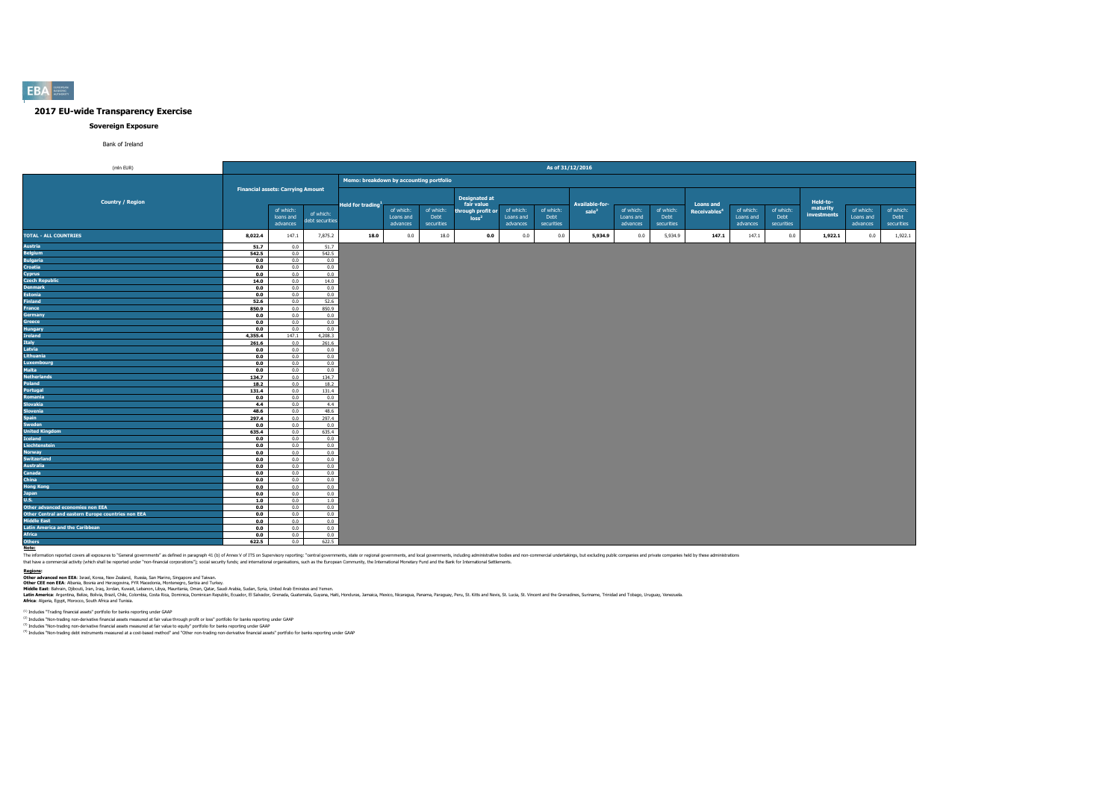

#### **Sovereign Exposure**

Bank of Ireland

Latin America: Argentina, Belize, Bolivia, Brazil, Chile, Colombia, Costa Rica, Dominica, Dominica, Dominican Republic, Ecuador, El Salvador, Grenada, Guatemala, Guyana, Haiti, Honduras, Jamaica, Mexico, Nicaraguay, Peru, **Africa**: Algeria, Egypt, Morocco, South Africa and Tunisia.

 $^{(1)}$  Includes "Trading financial assets" portfolio for banks reporting under GAAP

<sup>(2)</sup> Includes "Non-trading non-derivative financial assets measured at fair value through profit or loss" portfolio for banks reporting under GAAP

<sup>(3)</sup> Includes "Non-trading non-derivative financial assets measured at fair value to equity" portfolio for banks reporting under GAAP

<sup>(4)</sup> Includes "Non-trading debt instruments measured at a cost-based method" and "Other non-trading non-derivative financial assets" portfolio for banks reporting under GAAP

**Note:**

The information reported covers all exposures to "General governments" as defined in paragraph 41 (b) of Annex V of ITS on Supervisory reporting: "central governments, and local governments, including administrative bodies that have a commercial activity (which shall be reported under "non-financial corporations"); social security funds; and international organisations, such as the European Community, the International Monetary Fund and the

| (mln EUR)                                          |                                          |                        |                              |                                         |                                    |                                 |                                    |                                    | As of 31/12/2016                |                       |                                    |                                 |                          |                       |                                 |                      |                       |                                 |
|----------------------------------------------------|------------------------------------------|------------------------|------------------------------|-----------------------------------------|------------------------------------|---------------------------------|------------------------------------|------------------------------------|---------------------------------|-----------------------|------------------------------------|---------------------------------|--------------------------|-----------------------|---------------------------------|----------------------|-----------------------|---------------------------------|
|                                                    |                                          |                        |                              | Memo: breakdown by accounting portfolio |                                    |                                 |                                    |                                    |                                 |                       |                                    |                                 |                          |                       |                                 |                      |                       |                                 |
|                                                    | <b>Financial assets: Carrying Amount</b> |                        |                              |                                         |                                    |                                 |                                    |                                    |                                 |                       |                                    |                                 |                          |                       |                                 |                      |                       |                                 |
| <b>Country / Region</b>                            |                                          | of which:              |                              | Held for trading <sup>1</sup>           |                                    |                                 | <b>Designated at</b><br>fair value |                                    |                                 | <b>Available-for-</b> |                                    |                                 | <b>Loans and</b>         | of which:             |                                 | Held-to-<br>maturity | of which:             |                                 |
|                                                    |                                          | loans and<br>advances  | of which:<br>debt securities |                                         | of which:<br>Loans and<br>advances | of which:<br>Debt<br>securities | through profit or<br>$\log s^2$    | of which:<br>Loans and<br>advances | of which:<br>Debt<br>securities | sale <sup>3</sup>     | of which:<br>Loans and<br>advances | of which:<br>Debt<br>securities | Receivables <sup>4</sup> | Loans and<br>advances | of which:<br>Debt<br>securities | investments          | Loans and<br>advances | of which:<br>Debt<br>securities |
| <b>TOTAL - ALL COUNTRIES</b>                       | 8,022.4                                  | 147.1                  | 7,875.2                      | 18.0                                    | 0.0                                | 18.0                            | 0.0                                | 0.0                                | 0.0                             | 5,934.9               | 0.0                                | 5,934.9                         | 147.1                    | 147.1                 | 0.0                             | 1,922.1              | 0.0                   | 1,922.1                         |
| <b>Austria</b>                                     | 51.7                                     | 0.0                    | 51.7                         |                                         |                                    |                                 |                                    |                                    |                                 |                       |                                    |                                 |                          |                       |                                 |                      |                       |                                 |
| <b>Belgium</b>                                     | 542.5                                    | 0.0                    | 542.5                        |                                         |                                    |                                 |                                    |                                    |                                 |                       |                                    |                                 |                          |                       |                                 |                      |                       |                                 |
| <b>Bulgaria</b>                                    | 0.0                                      | 0.0                    | 0.0                          |                                         |                                    |                                 |                                    |                                    |                                 |                       |                                    |                                 |                          |                       |                                 |                      |                       |                                 |
| <b>Croatia</b>                                     | 0.0                                      | 0.0                    | 0.0                          |                                         |                                    |                                 |                                    |                                    |                                 |                       |                                    |                                 |                          |                       |                                 |                      |                       |                                 |
| <b>Cyprus</b>                                      | 0.0                                      | 0.0                    | 0.0                          |                                         |                                    |                                 |                                    |                                    |                                 |                       |                                    |                                 |                          |                       |                                 |                      |                       |                                 |
| <b>Czech Republic</b>                              | 14.0                                     | 0.0                    | 14.0                         |                                         |                                    |                                 |                                    |                                    |                                 |                       |                                    |                                 |                          |                       |                                 |                      |                       |                                 |
| <b>Denmark</b>                                     | 0.0                                      | 0.0                    | 0.0                          |                                         |                                    |                                 |                                    |                                    |                                 |                       |                                    |                                 |                          |                       |                                 |                      |                       |                                 |
| <b>Estonia</b>                                     | 0.0                                      | 0.0                    | 0.0                          |                                         |                                    |                                 |                                    |                                    |                                 |                       |                                    |                                 |                          |                       |                                 |                      |                       |                                 |
| <b>Finland</b>                                     | 52.6                                     | 0.0                    | 52.6                         |                                         |                                    |                                 |                                    |                                    |                                 |                       |                                    |                                 |                          |                       |                                 |                      |                       |                                 |
| <b>France</b>                                      | 850.9                                    | 0.0                    | 850.9                        |                                         |                                    |                                 |                                    |                                    |                                 |                       |                                    |                                 |                          |                       |                                 |                      |                       |                                 |
| <b>Germany</b>                                     | 0.0                                      | 0.0                    | 0.0                          |                                         |                                    |                                 |                                    |                                    |                                 |                       |                                    |                                 |                          |                       |                                 |                      |                       |                                 |
| <b>Greece</b>                                      | 0.0                                      | 0.0                    | 0.0                          |                                         |                                    |                                 |                                    |                                    |                                 |                       |                                    |                                 |                          |                       |                                 |                      |                       |                                 |
| <b>Hungary</b><br><b>Ireland</b>                   | 0.0<br>4,355.4                           | 0.0<br>147.1           | 0.0<br>4,208.3               |                                         |                                    |                                 |                                    |                                    |                                 |                       |                                    |                                 |                          |                       |                                 |                      |                       |                                 |
|                                                    | 261.6                                    | 0.0                    | 261.6                        |                                         |                                    |                                 |                                    |                                    |                                 |                       |                                    |                                 |                          |                       |                                 |                      |                       |                                 |
| Italy<br>Latvia                                    | 0.0                                      | 0.0                    | 0.0                          |                                         |                                    |                                 |                                    |                                    |                                 |                       |                                    |                                 |                          |                       |                                 |                      |                       |                                 |
| Lithuania                                          | 0.0                                      | 0.0                    | 0.0                          |                                         |                                    |                                 |                                    |                                    |                                 |                       |                                    |                                 |                          |                       |                                 |                      |                       |                                 |
| <b>Luxembourg</b>                                  | 0.0                                      | 0.0                    | 0.0                          |                                         |                                    |                                 |                                    |                                    |                                 |                       |                                    |                                 |                          |                       |                                 |                      |                       |                                 |
| <b>Malta</b>                                       | 0.0                                      | 0.0                    | 0.0                          |                                         |                                    |                                 |                                    |                                    |                                 |                       |                                    |                                 |                          |                       |                                 |                      |                       |                                 |
| <b>Netherlands</b>                                 | 134.7                                    | 0.0                    | 134.7                        |                                         |                                    |                                 |                                    |                                    |                                 |                       |                                    |                                 |                          |                       |                                 |                      |                       |                                 |
| <b>Poland</b>                                      | 18.2                                     | 0.0                    | 18.2                         |                                         |                                    |                                 |                                    |                                    |                                 |                       |                                    |                                 |                          |                       |                                 |                      |                       |                                 |
| Portugal                                           | 131.4                                    | 0.0                    | 131.4                        |                                         |                                    |                                 |                                    |                                    |                                 |                       |                                    |                                 |                          |                       |                                 |                      |                       |                                 |
| Romania                                            | 0.0                                      | 0.0                    | 0.0                          |                                         |                                    |                                 |                                    |                                    |                                 |                       |                                    |                                 |                          |                       |                                 |                      |                       |                                 |
| <b>Slovakia</b>                                    | 4.4                                      | 0.0                    | 4.4                          |                                         |                                    |                                 |                                    |                                    |                                 |                       |                                    |                                 |                          |                       |                                 |                      |                       |                                 |
| <b>Slovenia</b>                                    | 48.6                                     | 0.0                    | 48.6                         |                                         |                                    |                                 |                                    |                                    |                                 |                       |                                    |                                 |                          |                       |                                 |                      |                       |                                 |
| <b>Spain</b>                                       | 297.4                                    | 0.0                    | 297.4                        |                                         |                                    |                                 |                                    |                                    |                                 |                       |                                    |                                 |                          |                       |                                 |                      |                       |                                 |
| <b>Sweden</b>                                      | 0.0                                      | 0.0                    | 0.0                          |                                         |                                    |                                 |                                    |                                    |                                 |                       |                                    |                                 |                          |                       |                                 |                      |                       |                                 |
| <b>United Kingdom</b>                              | 635.4                                    | 0.0                    | 635.4                        |                                         |                                    |                                 |                                    |                                    |                                 |                       |                                    |                                 |                          |                       |                                 |                      |                       |                                 |
| <b>Iceland</b><br>Liechtenstein                    | 0.0                                      | 0.0                    | 0.0<br>0.0                   |                                         |                                    |                                 |                                    |                                    |                                 |                       |                                    |                                 |                          |                       |                                 |                      |                       |                                 |
| <b>Norway</b>                                      | 0.0<br>0.0                               | 0.0<br>0.0             | 0.0                          |                                         |                                    |                                 |                                    |                                    |                                 |                       |                                    |                                 |                          |                       |                                 |                      |                       |                                 |
| <b>Switzerland</b>                                 | 0.0                                      | 0.0                    | 0.0                          |                                         |                                    |                                 |                                    |                                    |                                 |                       |                                    |                                 |                          |                       |                                 |                      |                       |                                 |
| <b>Australia</b>                                   | 0.0                                      | 0.0                    | 0.0                          |                                         |                                    |                                 |                                    |                                    |                                 |                       |                                    |                                 |                          |                       |                                 |                      |                       |                                 |
| <b>Canada</b>                                      | 0.0                                      | 0.0                    | 0.0                          |                                         |                                    |                                 |                                    |                                    |                                 |                       |                                    |                                 |                          |                       |                                 |                      |                       |                                 |
| <b>China</b>                                       | 0.0                                      | 0.0                    | 0.0                          |                                         |                                    |                                 |                                    |                                    |                                 |                       |                                    |                                 |                          |                       |                                 |                      |                       |                                 |
| <b>Hong Kong</b>                                   | 0.0                                      | 0.0                    | 0.0                          |                                         |                                    |                                 |                                    |                                    |                                 |                       |                                    |                                 |                          |                       |                                 |                      |                       |                                 |
| <b>Japan</b>                                       | 0.0                                      | 0.0                    | 0.0                          |                                         |                                    |                                 |                                    |                                    |                                 |                       |                                    |                                 |                          |                       |                                 |                      |                       |                                 |
| U.S.                                               | 1.0                                      | 0.0                    | 1.0                          |                                         |                                    |                                 |                                    |                                    |                                 |                       |                                    |                                 |                          |                       |                                 |                      |                       |                                 |
| Other advanced economies non EEA                   | 0.0                                      | 0.0                    | 0.0                          |                                         |                                    |                                 |                                    |                                    |                                 |                       |                                    |                                 |                          |                       |                                 |                      |                       |                                 |
| Other Central and eastern Europe countries non EEA | 0.0                                      | 0.0                    | 0.0                          |                                         |                                    |                                 |                                    |                                    |                                 |                       |                                    |                                 |                          |                       |                                 |                      |                       |                                 |
| <b>Middle East</b>                                 | 0.0                                      | 0.0                    | 0.0                          |                                         |                                    |                                 |                                    |                                    |                                 |                       |                                    |                                 |                          |                       |                                 |                      |                       |                                 |
| <b>Latin America and the Caribbean</b>             | 0.0                                      | 0.0                    | 0.0                          |                                         |                                    |                                 |                                    |                                    |                                 |                       |                                    |                                 |                          |                       |                                 |                      |                       |                                 |
| <b>Africa</b>                                      | 0.0                                      | 0.0                    | 0.0                          |                                         |                                    |                                 |                                    |                                    |                                 |                       |                                    |                                 |                          |                       |                                 |                      |                       |                                 |
| <b>Others</b>                                      |                                          | <b>622.5</b> 0.0 622.5 |                              |                                         |                                    |                                 |                                    |                                    |                                 |                       |                                    |                                 |                          |                       |                                 |                      |                       |                                 |

**Regions: Other advanced non EEA**: Israel, Korea, New Zealand, Russia, San Marino, Singapore and Taiwan.

**Other CEE non EEA**: Albania, Bosnia and Herzegovina, FYR Macedonia, Montenegro, Serbia and Turkey.

**Middle East**: Bahrain, Djibouti, Iran, Iraq, Jordan, Kuwait, Lebanon, Libya, Mauritania, Oman, Qatar, Saudi Arabia, Sudan, Syria, United Arab Emirates and Yemen.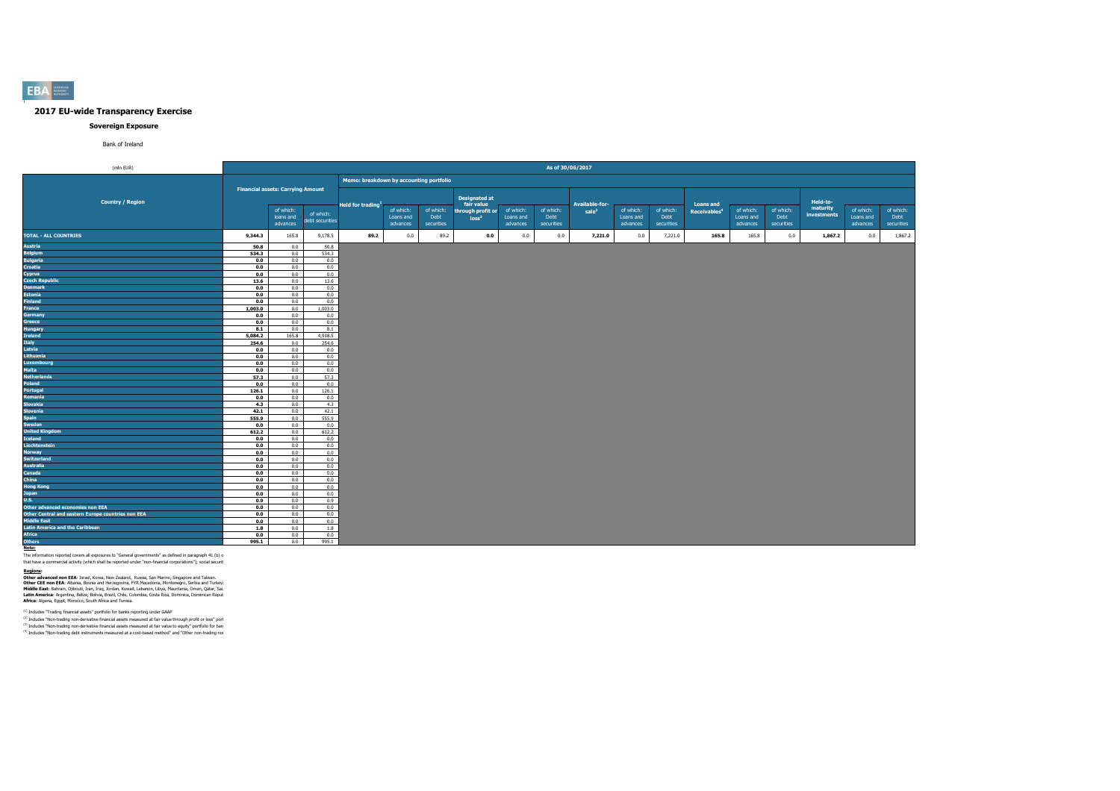

### **Sovereign Exposure**

Bank of Ireland

**Note:**

The information reported covers all exposures to "General governments" as defined in paragraph 41 (b) o

that have a commercial activity (which shall be reported under "non-financial corporations"); social securit

**Regions:**

**Other advanced non EEA**: Israel, Korea, New Zealand, Russia, San Marino, Singapore and Taiwan. **Other CEE non EEA**: Albania, Bosnia and Herzegovina, FYR Macedonia, Montenegro, Serbia and Turkey. **Middle East**: Bahrain, Djibouti, Iran, Iraq, Jordan, Kuwait, Lebanon, Libya, Mauritania, Oman, Qatar, Sau Latin America: Argentina, Belize, Bolivia, Brazil, Chile, Colombia, Costa Rica, Dominica, Dominican Repul **Africa**: Algeria, Egypt, Morocco, South Africa and Tunisia.

 $<sup>(1)</sup>$  Includes "Trading financial assets" portfolio for banks reporting under GAAP</sup>

 $(2)$  Includes "Non-trading non-derivative financial assets measured at fair value through profit or loss" port (3) Includes "Non-trading non-derivative financial assets measured at fair value to equity" portfolio for ban  $(4)$  Includes "Non-trading debt instruments measured at a cost-based method" and "Other non-trading nor

| (mln EUR)                                          |              |                                          |                              |                                         |                                    |                                 |                                    |                                    | As of 30/06/2017                |                       |                                    |                                 |                          |                                    |                                 |                         |                                    |                                 |
|----------------------------------------------------|--------------|------------------------------------------|------------------------------|-----------------------------------------|------------------------------------|---------------------------------|------------------------------------|------------------------------------|---------------------------------|-----------------------|------------------------------------|---------------------------------|--------------------------|------------------------------------|---------------------------------|-------------------------|------------------------------------|---------------------------------|
|                                                    |              |                                          |                              | Memo: breakdown by accounting portfolio |                                    |                                 |                                    |                                    |                                 |                       |                                    |                                 |                          |                                    |                                 |                         |                                    |                                 |
|                                                    |              | <b>Financial assets: Carrying Amount</b> |                              |                                         |                                    |                                 |                                    |                                    |                                 |                       |                                    |                                 |                          |                                    |                                 |                         |                                    |                                 |
| <b>Country / Region</b>                            |              |                                          |                              | Held for trading <sup>1</sup>           |                                    |                                 | <b>Designated at</b><br>fair value |                                    |                                 | <b>Available-for-</b> |                                    |                                 | <b>Loans and</b>         |                                    |                                 | Held-to-                |                                    |                                 |
|                                                    |              | of which:<br>loans and<br>advances       | of which:<br>debt securities |                                         | of which:<br>Loans and<br>advances | of which:<br>Debt<br>securities | through profit or<br>$\log s^2$    | of which:<br>Loans and<br>advances | of which:<br>Debt<br>securities | sale <sup>3</sup>     | of which:<br>Loans and<br>advances | of which:<br>Debt<br>securities | Receivables <sup>4</sup> | of which:<br>Loans and<br>advances | of which:<br>Debt<br>securities | maturity<br>investments | of which:<br>Loans and<br>advances | of which:<br>Debt<br>securities |
| <b>TOTAL - ALL COUNTRIES</b>                       | 9,344.3      | 165.8                                    | 9,178.5                      | 89.2                                    | 0.0                                | 89.2                            | 0.0                                | 0.0                                | 0.0                             | 7,221.0               | 0.0                                | 7,221.0                         | 165.8                    | 165.8                              | 0.0                             | 1,867.2                 | 0.0                                | 1,867.2                         |
| <b>Austria</b>                                     | 50.8         | 0.0                                      | 50.8                         |                                         |                                    |                                 |                                    |                                    |                                 |                       |                                    |                                 |                          |                                    |                                 |                         |                                    |                                 |
| <b>Belgium</b>                                     | 534.3        | 0.0                                      | 534.3                        |                                         |                                    |                                 |                                    |                                    |                                 |                       |                                    |                                 |                          |                                    |                                 |                         |                                    |                                 |
| <b>Bulgaria</b>                                    | 0.0          | 0.0                                      | 0.0                          |                                         |                                    |                                 |                                    |                                    |                                 |                       |                                    |                                 |                          |                                    |                                 |                         |                                    |                                 |
| <b>Croatia</b>                                     | 0.0          | 0.0                                      | 0.0                          |                                         |                                    |                                 |                                    |                                    |                                 |                       |                                    |                                 |                          |                                    |                                 |                         |                                    |                                 |
| <b>Cyprus</b><br><b>Czech Republic</b>             | 0.0          | 0.0                                      | 0.0                          |                                         |                                    |                                 |                                    |                                    |                                 |                       |                                    |                                 |                          |                                    |                                 |                         |                                    |                                 |
| <b>Denmark</b>                                     | 13.6<br>0.0  | 0.0<br>0.0                               | 13.6<br>0.0                  |                                         |                                    |                                 |                                    |                                    |                                 |                       |                                    |                                 |                          |                                    |                                 |                         |                                    |                                 |
| <b>Estonia</b>                                     | 0.0          | 0.0                                      | 0.0                          |                                         |                                    |                                 |                                    |                                    |                                 |                       |                                    |                                 |                          |                                    |                                 |                         |                                    |                                 |
| <b>Finland</b>                                     | 0.0          | 0.0                                      | 0.0                          |                                         |                                    |                                 |                                    |                                    |                                 |                       |                                    |                                 |                          |                                    |                                 |                         |                                    |                                 |
| <b>France</b>                                      | 1,003.0      | 0.0                                      | 1,003.0                      |                                         |                                    |                                 |                                    |                                    |                                 |                       |                                    |                                 |                          |                                    |                                 |                         |                                    |                                 |
| <b>Germany</b>                                     | 0.0          | 0.0                                      | 0.0                          |                                         |                                    |                                 |                                    |                                    |                                 |                       |                                    |                                 |                          |                                    |                                 |                         |                                    |                                 |
| <b>Greece</b>                                      | 0.0          | 0.0                                      | 0.0                          |                                         |                                    |                                 |                                    |                                    |                                 |                       |                                    |                                 |                          |                                    |                                 |                         |                                    |                                 |
| <b>Hungary</b>                                     | 8.1          | 0.0                                      | 8.1                          |                                         |                                    |                                 |                                    |                                    |                                 |                       |                                    |                                 |                          |                                    |                                 |                         |                                    |                                 |
| <b>Ireland</b>                                     | 5,084.2      | 165.8                                    | 4,918.5                      |                                         |                                    |                                 |                                    |                                    |                                 |                       |                                    |                                 |                          |                                    |                                 |                         |                                    |                                 |
| <b>Italy</b>                                       | 254.6        | 0.0                                      | 254.6                        |                                         |                                    |                                 |                                    |                                    |                                 |                       |                                    |                                 |                          |                                    |                                 |                         |                                    |                                 |
| Latvia                                             | 0.0          | 0.0                                      | 0.0                          |                                         |                                    |                                 |                                    |                                    |                                 |                       |                                    |                                 |                          |                                    |                                 |                         |                                    |                                 |
| Lithuania                                          | 0.0          | 0.0                                      | 0.0                          |                                         |                                    |                                 |                                    |                                    |                                 |                       |                                    |                                 |                          |                                    |                                 |                         |                                    |                                 |
| <b>Luxembourg</b>                                  | 0.0          | 0.0                                      | 0.0                          |                                         |                                    |                                 |                                    |                                    |                                 |                       |                                    |                                 |                          |                                    |                                 |                         |                                    |                                 |
| <b>Malta</b>                                       | 0.0          | 0.0                                      | 0.0                          |                                         |                                    |                                 |                                    |                                    |                                 |                       |                                    |                                 |                          |                                    |                                 |                         |                                    |                                 |
| <b>Netherlands</b><br><b>Poland</b>                | 57.3         | 0.0                                      | 57.3                         |                                         |                                    |                                 |                                    |                                    |                                 |                       |                                    |                                 |                          |                                    |                                 |                         |                                    |                                 |
| <b>Portugal</b>                                    | 0.0<br>126.1 | 0.0<br>0.0                               | 0.0<br>126.1                 |                                         |                                    |                                 |                                    |                                    |                                 |                       |                                    |                                 |                          |                                    |                                 |                         |                                    |                                 |
| <b>Romania</b>                                     | 0.0          | 0.0                                      | 0.0                          |                                         |                                    |                                 |                                    |                                    |                                 |                       |                                    |                                 |                          |                                    |                                 |                         |                                    |                                 |
| <b>Slovakia</b>                                    | 4.3          | 0.0                                      | 4.3                          |                                         |                                    |                                 |                                    |                                    |                                 |                       |                                    |                                 |                          |                                    |                                 |                         |                                    |                                 |
| <b>Slovenia</b>                                    | 42.1         | 0.0                                      | 42.1                         |                                         |                                    |                                 |                                    |                                    |                                 |                       |                                    |                                 |                          |                                    |                                 |                         |                                    |                                 |
| <b>Spain</b>                                       | 555.9        | 0.0                                      | 555.9                        |                                         |                                    |                                 |                                    |                                    |                                 |                       |                                    |                                 |                          |                                    |                                 |                         |                                    |                                 |
| <b>Sweden</b>                                      | 0.0          | 0.0                                      | 0.0                          |                                         |                                    |                                 |                                    |                                    |                                 |                       |                                    |                                 |                          |                                    |                                 |                         |                                    |                                 |
| <b>United Kingdom</b>                              | 612.2        | 0.0                                      | 612.2                        |                                         |                                    |                                 |                                    |                                    |                                 |                       |                                    |                                 |                          |                                    |                                 |                         |                                    |                                 |
| <b>Iceland</b>                                     | 0.0          | 0.0                                      | 0.0                          |                                         |                                    |                                 |                                    |                                    |                                 |                       |                                    |                                 |                          |                                    |                                 |                         |                                    |                                 |
| Liechtenstein                                      | 0.0          | 0.0                                      | 0.0                          |                                         |                                    |                                 |                                    |                                    |                                 |                       |                                    |                                 |                          |                                    |                                 |                         |                                    |                                 |
| <b>Norway</b>                                      | 0.0          | 0.0                                      | 0.0                          |                                         |                                    |                                 |                                    |                                    |                                 |                       |                                    |                                 |                          |                                    |                                 |                         |                                    |                                 |
| <b>Switzerland</b>                                 | 0.0          | 0.0                                      | 0.0                          |                                         |                                    |                                 |                                    |                                    |                                 |                       |                                    |                                 |                          |                                    |                                 |                         |                                    |                                 |
| <b>Australia</b>                                   | 0.0          | 0.0                                      | 0.0                          |                                         |                                    |                                 |                                    |                                    |                                 |                       |                                    |                                 |                          |                                    |                                 |                         |                                    |                                 |
| <b>Canada</b>                                      | 0.0          | 0.0                                      | 0.0                          |                                         |                                    |                                 |                                    |                                    |                                 |                       |                                    |                                 |                          |                                    |                                 |                         |                                    |                                 |
| <b>China</b>                                       | 0.0          | 0.0                                      | 0.0                          |                                         |                                    |                                 |                                    |                                    |                                 |                       |                                    |                                 |                          |                                    |                                 |                         |                                    |                                 |
| <b>Hong Kong</b><br><b>Japan</b>                   | 0.0<br>0.0   | 0.0<br>0.0                               | 0.0<br>0.0                   |                                         |                                    |                                 |                                    |                                    |                                 |                       |                                    |                                 |                          |                                    |                                 |                         |                                    |                                 |
| <b>U.S.</b>                                        | 0.9          | 0.0                                      | 0.9                          |                                         |                                    |                                 |                                    |                                    |                                 |                       |                                    |                                 |                          |                                    |                                 |                         |                                    |                                 |
| Other advanced economies non EEA                   | 0.0          | 0.0                                      | 0.0                          |                                         |                                    |                                 |                                    |                                    |                                 |                       |                                    |                                 |                          |                                    |                                 |                         |                                    |                                 |
| Other Central and eastern Europe countries non EEA | 0.0          | 0.0                                      | 0.0                          |                                         |                                    |                                 |                                    |                                    |                                 |                       |                                    |                                 |                          |                                    |                                 |                         |                                    |                                 |
| <b>Middle East</b>                                 | 0.0          | 0.0                                      | 0.0                          |                                         |                                    |                                 |                                    |                                    |                                 |                       |                                    |                                 |                          |                                    |                                 |                         |                                    |                                 |
| Latin America and the Caribbean                    | 1.8          | 0.0                                      | 1.8                          |                                         |                                    |                                 |                                    |                                    |                                 |                       |                                    |                                 |                          |                                    |                                 |                         |                                    |                                 |
| <b>Africa</b>                                      | 0.0          | 0.0                                      | 0.0                          |                                         |                                    |                                 |                                    |                                    |                                 |                       |                                    |                                 |                          |                                    |                                 |                         |                                    |                                 |
| <b>Others</b>                                      | 995.1        | 0.0                                      | 995.1                        |                                         |                                    |                                 |                                    |                                    |                                 |                       |                                    |                                 |                          |                                    |                                 |                         |                                    |                                 |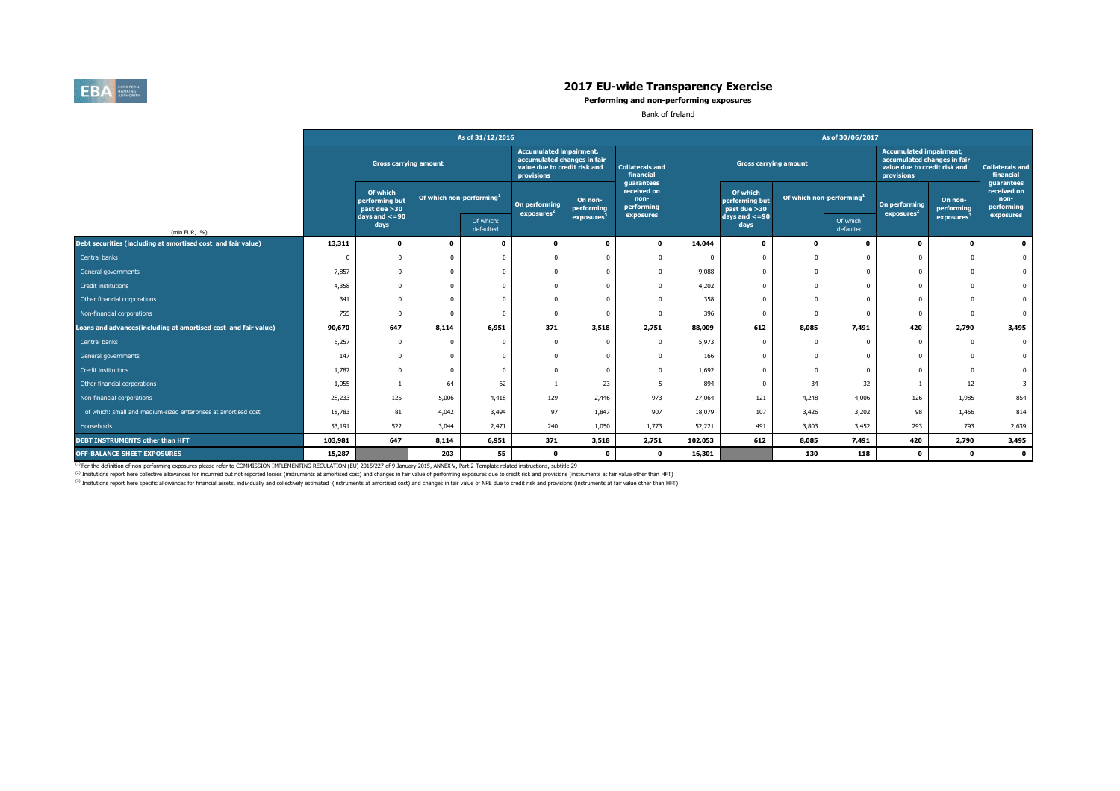

|                                                                |         |                                            |       | As of 31/12/2016            |                                                                                                             |                                   |                                                 |         |                                             |                  | As of 30/06/2017                     |                                                                                                             |                        |                                                 |
|----------------------------------------------------------------|---------|--------------------------------------------|-------|-----------------------------|-------------------------------------------------------------------------------------------------------------|-----------------------------------|-------------------------------------------------|---------|---------------------------------------------|------------------|--------------------------------------|-------------------------------------------------------------------------------------------------------------|------------------------|-------------------------------------------------|
|                                                                |         | <b>Gross carrying amount</b>               |       |                             | <b>Accumulated impairment,</b><br>accumulated changes in fair<br>value due to credit risk and<br>provisions |                                   | <b>Collaterals and</b><br>financial             |         | <b>Gross carrying amount</b>                |                  |                                      | <b>Accumulated impairment,</b><br>accumulated changes in fair<br>value due to credit risk and<br>provisions |                        | Collaterals an<br>financial                     |
|                                                                |         | Of which<br>performing but<br>past due >30 |       | Of which non-performing $1$ | On performing<br>exposures <sup>2</sup>                                                                     | On non-<br>performing             | guarantees<br>received on<br>non-<br>performing |         | Of which<br>performing but<br>past due > 30 |                  | Of which non-performing <sup>1</sup> | On performing<br>exposures <sup>2</sup>                                                                     | On non-<br>performing  | guarantees<br>received on<br>non-<br>performing |
| (mln EUR, $%$ )                                                |         | days and $\leq$ =90<br>days                |       | Of which:<br>defaulted      |                                                                                                             | $\sqrt{2}$ exposures <sup>3</sup> | exposures                                       |         | days and $\leq=90$<br>days                  |                  | Of which:<br>defaulted               |                                                                                                             | exposures <sup>3</sup> | exposures                                       |
| Debt securities (including at amortised cost and fair value)   | 13,311  |                                            |       |                             |                                                                                                             |                                   | $\mathbf 0$                                     | 14,044  | $\mathbf 0$                                 | $\mathbf 0$      |                                      |                                                                                                             | $\mathbf 0$            |                                                 |
| Central banks                                                  |         |                                            |       |                             |                                                                                                             |                                   |                                                 |         |                                             |                  |                                      |                                                                                                             |                        |                                                 |
| General governments                                            | 7,857   |                                            |       |                             |                                                                                                             |                                   |                                                 | 9,088   | $\overline{0}$                              | $\boldsymbol{0}$ |                                      |                                                                                                             |                        |                                                 |
| Credit institutions                                            | 4,358   |                                            |       |                             |                                                                                                             |                                   |                                                 | 4,202   |                                             |                  |                                      |                                                                                                             |                        |                                                 |
| Other financial corporations                                   | 341     |                                            |       |                             |                                                                                                             |                                   |                                                 | 358     |                                             |                  |                                      |                                                                                                             |                        |                                                 |
| Non-financial corporations                                     | 755     |                                            |       |                             |                                                                                                             |                                   |                                                 | 396     |                                             |                  |                                      |                                                                                                             |                        |                                                 |
| Loans and advances(including at amortised cost and fair value) | 90,670  | 647                                        | 8,114 | 6,951                       | 371                                                                                                         | 3,518                             | 2,751                                           | 88,009  | 612                                         | 8,085            | 7,491                                | 420                                                                                                         | 2,790                  | 3,495                                           |
| Central banks                                                  | 6,257   |                                            |       |                             |                                                                                                             |                                   |                                                 | 5,973   | $\overline{0}$                              | $\boldsymbol{0}$ |                                      |                                                                                                             |                        |                                                 |
| General governments                                            | 147     |                                            |       |                             |                                                                                                             |                                   |                                                 | 166     |                                             |                  |                                      |                                                                                                             |                        |                                                 |
| Credit institutions                                            | 1,787   |                                            |       |                             |                                                                                                             |                                   |                                                 | 1,692   |                                             |                  |                                      |                                                                                                             |                        |                                                 |
| Other financial corporations                                   | 1,055   |                                            | 64    | 62                          |                                                                                                             | 23                                | 5 <sub>1</sub>                                  | 894     | $\overline{0}$                              | 34               | 32                                   |                                                                                                             | 12                     |                                                 |
| Non-financial corporations                                     | 28,233  | 125                                        | 5,006 | 4,418                       | 129                                                                                                         | 2,446                             | 973                                             | 27,064  | 121                                         | 4,248            | 4,006                                | 126                                                                                                         | 1,985                  | 854                                             |
| of which: small and medium-sized enterprises at amortised cost | 18,783  | 81                                         | 4,042 | 3,494                       | 97                                                                                                          | 1,847                             | 907                                             | 18,079  | 107                                         | 3,426            | 3,202                                | 98                                                                                                          | 1,456                  | 814                                             |
| Households                                                     | 53,191  | 522                                        | 3,044 | 2,471                       | 240                                                                                                         | 1,050                             | 1,773                                           | 52,221  | 491                                         | 3,803            | 3,452                                | 293                                                                                                         | 793                    | 2,639                                           |
| <b>DEBT INSTRUMENTS other than HFT</b>                         | 103,981 | 647                                        | 8,114 | 6,951                       | 371                                                                                                         | 3,518                             | 2,751                                           | 102,053 | 612                                         | 8,085            | 7,491                                | 420                                                                                                         | 2,790                  | 3,495                                           |
| <b>OFF-BALANCE SHEET EXPOSURES</b>                             | 15,287  |                                            | 203   | 55                          |                                                                                                             | $\mathbf 0$                       | $\mathbf 0$                                     | 16,301  |                                             | 130              | 118                                  | $\mathbf 0$                                                                                                 | $\mathbf 0$            |                                                 |

 $^{(1)}$  For the definition of non-performing exposures please refer to COMMISSION IMPLEMENTING REGULATION (EU) 2015/227 of 9 January 2015, ANNEX V, Part 2-Template related instructions, subtitle 29 <sup>(2)</sup> Insitutions report here collective allowances for incurrred but not reported losses (instruments at amortised cost) and changes in fair value of performing exposures due to credit risk and provisions (instruments at (3) Insitutions report here specific allowances for financial assets, individually and collectively estimated (instruments at amortised cost) and changes in fair value of NPE due to credit risk and provisions (instruments

| <b>Collaterals and</b><br>financial<br>guarantees<br>received on<br>non-<br>performing<br>exposures |       |
|-----------------------------------------------------------------------------------------------------|-------|
|                                                                                                     | 0     |
|                                                                                                     | 0     |
|                                                                                                     | 0     |
|                                                                                                     | 0     |
|                                                                                                     | 0     |
|                                                                                                     | 0     |
|                                                                                                     | 3,495 |
|                                                                                                     | 0     |
|                                                                                                     | 0     |
|                                                                                                     | 0     |
|                                                                                                     | 3     |
|                                                                                                     | 854   |
|                                                                                                     | 814   |
|                                                                                                     | 2,639 |
|                                                                                                     | 3,495 |
|                                                                                                     | O     |
|                                                                                                     |       |

# **2017 EU-wide Transparency Exercise**

#### **Performing and non-performing exposures**